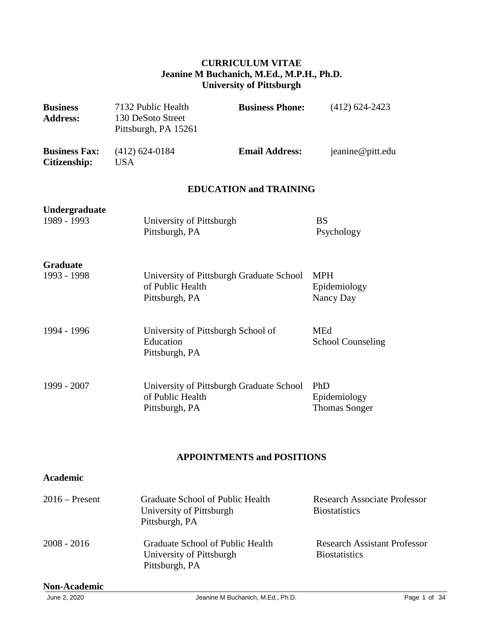### **CURRICULUM VITAE Jeanine M Buchanich, M.Ed., M.P.H., Ph.D. University of Pittsburgh**

| <b>Business</b><br><b>Address:</b>          | 7132 Public Health<br>130 DeSoto Street<br>Pittsburgh, PA 15261   | <b>Business Phone:</b>                   | $(412)$ 624-2423                            |
|---------------------------------------------|-------------------------------------------------------------------|------------------------------------------|---------------------------------------------|
| <b>Business Fax:</b><br><b>Citizenship:</b> | $(412)$ 624-0184<br><b>USA</b>                                    | <b>Email Address:</b>                    | jeanine@pitt.edu                            |
|                                             |                                                                   | <b>EDUCATION and TRAINING</b>            |                                             |
| Undergraduate<br>1989 - 1993                | University of Pittsburgh<br>Pittsburgh, PA                        |                                          | <b>BS</b><br>Psychology                     |
| <b>Graduate</b><br>1993 - 1998              | of Public Health<br>Pittsburgh, PA                                | University of Pittsburgh Graduate School | <b>MPH</b><br>Epidemiology<br>Nancy Day     |
| 1994 - 1996                                 | University of Pittsburgh School of<br>Education<br>Pittsburgh, PA |                                          | <b>MEd</b><br><b>School Counseling</b>      |
| 1999 - 2007                                 | of Public Health<br>Pittsburgh, PA                                | University of Pittsburgh Graduate School | PhD<br>Epidemiology<br><b>Thomas Songer</b> |

## **APPOINTMENTS and POSITIONS**

### **Academic**

| $2016$ – Present | Graduate School of Public Health<br>University of Pittsburgh<br>Pittsburgh, PA | <b>Research Associate Professor</b><br><b>Biostatistics</b> |
|------------------|--------------------------------------------------------------------------------|-------------------------------------------------------------|
| $2008 - 2016$    | Graduate School of Public Health<br>University of Pittsburgh<br>Pittsburgh, PA | <b>Research Assistant Professor</b><br><b>Biostatistics</b> |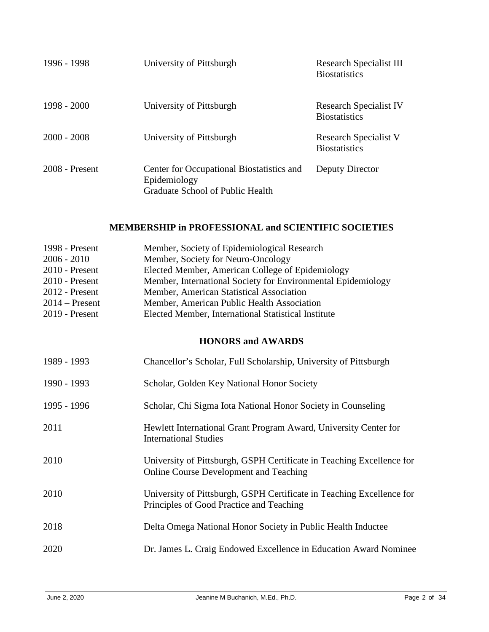| 1996 - 1998      | University of Pittsburgh                                                                      | Research Specialist III<br><b>Biostatistics</b>      |
|------------------|-----------------------------------------------------------------------------------------------|------------------------------------------------------|
| $1998 - 2000$    | University of Pittsburgh                                                                      | Research Specialist IV<br><b>Biostatistics</b>       |
| $2000 - 2008$    | University of Pittsburgh                                                                      | <b>Research Specialist V</b><br><b>Biostatistics</b> |
| $2008$ - Present | Center for Occupational Biostatistics and<br>Epidemiology<br>Graduate School of Public Health | Deputy Director                                      |

## **MEMBERSHIP in PROFESSIONAL and SCIENTIFIC SOCIETIES**

| 1998 - Present<br>$2006 - 2010$<br>$2010$ - Present<br>2010 - Present<br>2012 - Present<br>$2014$ – Present<br>2019 - Present | Member, Society of Epidemiological Research<br>Member, Society for Neuro-Oncology<br>Elected Member, American College of Epidemiology<br>Member, International Society for Environmental Epidemiology<br>Member, American Statistical Association<br>Member, American Public Health Association<br>Elected Member, International Statistical Institute |
|-------------------------------------------------------------------------------------------------------------------------------|--------------------------------------------------------------------------------------------------------------------------------------------------------------------------------------------------------------------------------------------------------------------------------------------------------------------------------------------------------|
|                                                                                                                               | <b>HONORS and AWARDS</b>                                                                                                                                                                                                                                                                                                                               |
| 1989 - 1993                                                                                                                   | Chancellor's Scholar, Full Scholarship, University of Pittsburgh                                                                                                                                                                                                                                                                                       |
| 1990 - 1993                                                                                                                   | Scholar, Golden Key National Honor Society                                                                                                                                                                                                                                                                                                             |
| 1995 - 1996                                                                                                                   | Scholar, Chi Sigma Iota National Honor Society in Counseling                                                                                                                                                                                                                                                                                           |
| 2011                                                                                                                          | Hewlett International Grant Program Award, University Center for<br><b>International Studies</b>                                                                                                                                                                                                                                                       |
| 2010                                                                                                                          | University of Pittsburgh, GSPH Certificate in Teaching Excellence for<br><b>Online Course Development and Teaching</b>                                                                                                                                                                                                                                 |
| 2010                                                                                                                          | University of Pittsburgh, GSPH Certificate in Teaching Excellence for<br>Principles of Good Practice and Teaching                                                                                                                                                                                                                                      |
| 2018                                                                                                                          | Delta Omega National Honor Society in Public Health Inductee                                                                                                                                                                                                                                                                                           |
| 2020                                                                                                                          | Dr. James L. Craig Endowed Excellence in Education Award Nominee                                                                                                                                                                                                                                                                                       |
|                                                                                                                               |                                                                                                                                                                                                                                                                                                                                                        |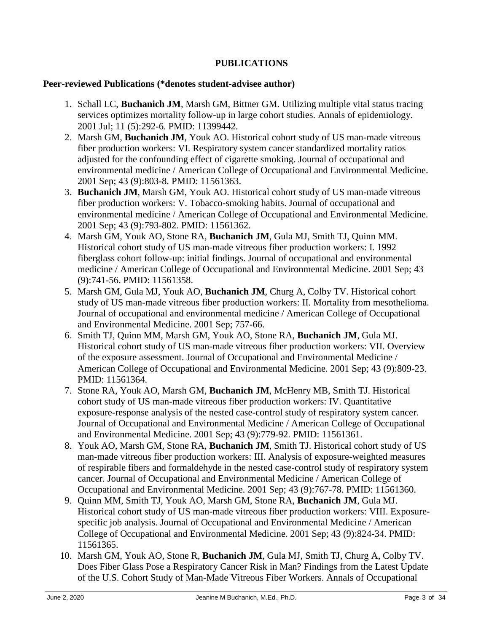### **PUBLICATIONS**

#### **Peer-reviewed Publications (\*denotes student-advisee author)**

- 1. Schall LC, **Buchanich JM**, Marsh GM, Bittner GM. Utilizing multiple vital status tracing services optimizes mortality follow-up in large cohort studies. Annals of epidemiology. 2001 Jul; 11 (5):292-6. PMID: 11399442.
- 2. Marsh GM, **Buchanich JM**, Youk AO. Historical cohort study of US man-made vitreous fiber production workers: VI. Respiratory system cancer standardized mortality ratios adjusted for the confounding effect of cigarette smoking. Journal of occupational and environmental medicine / American College of Occupational and Environmental Medicine. 2001 Sep; 43 (9):803-8. PMID: 11561363.
- 3. **Buchanich JM**, Marsh GM, Youk AO. Historical cohort study of US man-made vitreous fiber production workers: V. Tobacco-smoking habits. Journal of occupational and environmental medicine / American College of Occupational and Environmental Medicine. 2001 Sep; 43 (9):793-802. PMID: 11561362.
- 4. Marsh GM, Youk AO, Stone RA, **Buchanich JM**, Gula MJ, Smith TJ, Quinn MM. Historical cohort study of US man-made vitreous fiber production workers: I. 1992 fiberglass cohort follow-up: initial findings. Journal of occupational and environmental medicine / American College of Occupational and Environmental Medicine. 2001 Sep; 43 (9):741-56. PMID: 11561358.
- 5. Marsh GM, Gula MJ, Youk AO, **Buchanich JM**, Churg A, Colby TV. Historical cohort study of US man-made vitreous fiber production workers: II. Mortality from mesothelioma. Journal of occupational and environmental medicine / American College of Occupational and Environmental Medicine. 2001 Sep; 757-66.
- 6. Smith TJ, Quinn MM, Marsh GM, Youk AO, Stone RA, **Buchanich JM**, Gula MJ. Historical cohort study of US man-made vitreous fiber production workers: VII. Overview of the exposure assessment. Journal of Occupational and Environmental Medicine / American College of Occupational and Environmental Medicine. 2001 Sep; 43 (9):809-23. PMID: 11561364.
- 7. Stone RA, Youk AO, Marsh GM, **Buchanich JM**, McHenry MB, Smith TJ. Historical cohort study of US man-made vitreous fiber production workers: IV. Quantitative exposure-response analysis of the nested case-control study of respiratory system cancer. Journal of Occupational and Environmental Medicine / American College of Occupational and Environmental Medicine. 2001 Sep; 43 (9):779-92. PMID: 11561361.
- 8. Youk AO, Marsh GM, Stone RA, **Buchanich JM**, Smith TJ. Historical cohort study of US man-made vitreous fiber production workers: III. Analysis of exposure-weighted measures of respirable fibers and formaldehyde in the nested case-control study of respiratory system cancer. Journal of Occupational and Environmental Medicine / American College of Occupational and Environmental Medicine. 2001 Sep; 43 (9):767-78. PMID: 11561360.
- 9. Quinn MM, Smith TJ, Youk AO, Marsh GM, Stone RA, **Buchanich JM**, Gula MJ. Historical cohort study of US man-made vitreous fiber production workers: VIII. Exposurespecific job analysis. Journal of Occupational and Environmental Medicine / American College of Occupational and Environmental Medicine. 2001 Sep; 43 (9):824-34. PMID: 11561365.
- 10. Marsh GM, Youk AO, Stone R, **Buchanich JM**, Gula MJ, Smith TJ, Churg A, Colby TV. Does Fiber Glass Pose a Respiratory Cancer Risk in Man? Findings from the Latest Update of the U.S. Cohort Study of Man-Made Vitreous Fiber Workers. Annals of Occupational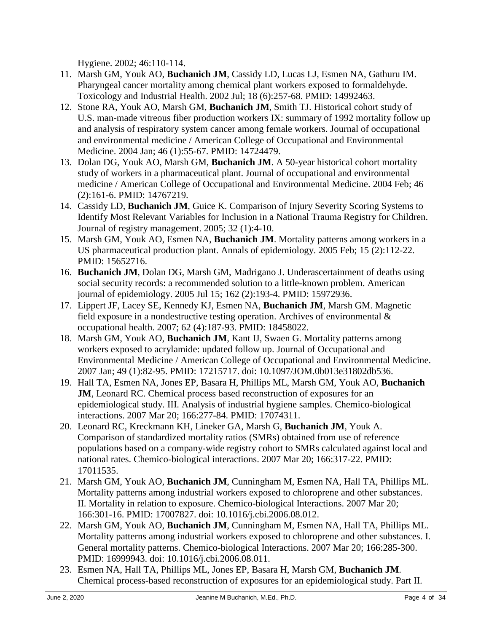Hygiene. 2002; 46:110-114.

- 11. Marsh GM, Youk AO, **Buchanich JM**, Cassidy LD, Lucas LJ, Esmen NA, Gathuru IM. Pharyngeal cancer mortality among chemical plant workers exposed to formaldehyde. Toxicology and Industrial Health. 2002 Jul; 18 (6):257-68. PMID: 14992463.
- 12. Stone RA, Youk AO, Marsh GM, **Buchanich JM**, Smith TJ. Historical cohort study of U.S. man-made vitreous fiber production workers IX: summary of 1992 mortality follow up and analysis of respiratory system cancer among female workers. Journal of occupational and environmental medicine / American College of Occupational and Environmental Medicine. 2004 Jan; 46 (1):55-67. PMID: 14724479.
- 13. Dolan DG, Youk AO, Marsh GM, **Buchanich JM**. A 50-year historical cohort mortality study of workers in a pharmaceutical plant. Journal of occupational and environmental medicine / American College of Occupational and Environmental Medicine. 2004 Feb; 46 (2):161-6. PMID: 14767219.
- 14. Cassidy LD, **Buchanich JM**, Guice K. Comparison of Injury Severity Scoring Systems to Identify Most Relevant Variables for Inclusion in a National Trauma Registry for Children. Journal of registry management. 2005; 32 (1):4-10.
- 15. Marsh GM, Youk AO, Esmen NA, **Buchanich JM**. Mortality patterns among workers in a US pharmaceutical production plant. Annals of epidemiology. 2005 Feb; 15 (2):112-22. PMID: 15652716.
- 16. **Buchanich JM**, Dolan DG, Marsh GM, Madrigano J. Underascertainment of deaths using social security records: a recommended solution to a little-known problem. American journal of epidemiology. 2005 Jul 15; 162 (2):193-4. PMID: 15972936.
- 17. Lippert JF, Lacey SE, Kennedy KJ, Esmen NA, **Buchanich JM**, Marsh GM. Magnetic field exposure in a nondestructive testing operation. Archives of environmental & occupational health. 2007; 62 (4):187-93. PMID: 18458022.
- 18. Marsh GM, Youk AO, **Buchanich JM**, Kant IJ, Swaen G. Mortality patterns among workers exposed to acrylamide: updated follow up. Journal of Occupational and Environmental Medicine / American College of Occupational and Environmental Medicine. 2007 Jan; 49 (1):82-95. PMID: 17215717. doi: 10.1097/JOM.0b013e31802db536.
- 19. Hall TA, Esmen NA, Jones EP, Basara H, Phillips ML, Marsh GM, Youk AO, **Buchanich JM**, Leonard RC. Chemical process based reconstruction of exposures for an epidemiological study. III. Analysis of industrial hygiene samples. Chemico-biological interactions. 2007 Mar 20; 166:277-84. PMID: 17074311.
- 20. Leonard RC, Kreckmann KH, Lineker GA, Marsh G, **Buchanich JM**, Youk A. Comparison of standardized mortality ratios (SMRs) obtained from use of reference populations based on a company-wide registry cohort to SMRs calculated against local and national rates. Chemico-biological interactions. 2007 Mar 20; 166:317-22. PMID: 17011535.
- 21. Marsh GM, Youk AO, **Buchanich JM**, Cunningham M, Esmen NA, Hall TA, Phillips ML. Mortality patterns among industrial workers exposed to chloroprene and other substances. II. Mortality in relation to exposure. Chemico-biological Interactions. 2007 Mar 20; 166:301-16. PMID: 17007827. doi: 10.1016/j.cbi.2006.08.012.
- 22. Marsh GM, Youk AO, **Buchanich JM**, Cunningham M, Esmen NA, Hall TA, Phillips ML. Mortality patterns among industrial workers exposed to chloroprene and other substances. I. General mortality patterns. Chemico-biological Interactions. 2007 Mar 20; 166:285-300. PMID: 16999943. doi: 10.1016/j.cbi.2006.08.011.
- 23. Esmen NA, Hall TA, Phillips ML, Jones EP, Basara H, Marsh GM, **Buchanich JM**. Chemical process-based reconstruction of exposures for an epidemiological study. Part II.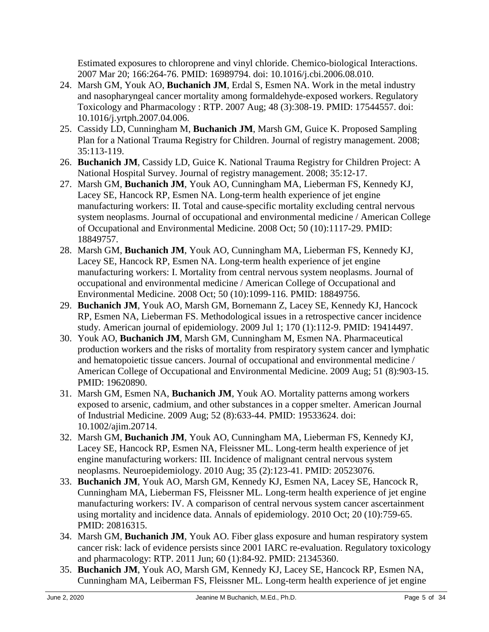Estimated exposures to chloroprene and vinyl chloride. Chemico-biological Interactions. 2007 Mar 20; 166:264-76. PMID: 16989794. doi: 10.1016/j.cbi.2006.08.010.

- 24. Marsh GM, Youk AO, **Buchanich JM**, Erdal S, Esmen NA. Work in the metal industry and nasopharyngeal cancer mortality among formaldehyde-exposed workers. Regulatory Toxicology and Pharmacology : RTP. 2007 Aug; 48 (3):308-19. PMID: 17544557. doi: 10.1016/j.yrtph.2007.04.006.
- 25. Cassidy LD, Cunningham M, **Buchanich JM**, Marsh GM, Guice K. Proposed Sampling Plan for a National Trauma Registry for Children. Journal of registry management. 2008; 35:113-119.
- 26. **Buchanich JM**, Cassidy LD, Guice K. National Trauma Registry for Children Project: A National Hospital Survey. Journal of registry management. 2008; 35:12-17.
- 27. Marsh GM, **Buchanich JM**, Youk AO, Cunningham MA, Lieberman FS, Kennedy KJ, Lacey SE, Hancock RP, Esmen NA. Long-term health experience of jet engine manufacturing workers: II. Total and cause-specific mortality excluding central nervous system neoplasms. Journal of occupational and environmental medicine / American College of Occupational and Environmental Medicine. 2008 Oct; 50 (10):1117-29. PMID: 18849757.
- 28. Marsh GM, **Buchanich JM**, Youk AO, Cunningham MA, Lieberman FS, Kennedy KJ, Lacey SE, Hancock RP, Esmen NA. Long-term health experience of jet engine manufacturing workers: I. Mortality from central nervous system neoplasms. Journal of occupational and environmental medicine / American College of Occupational and Environmental Medicine. 2008 Oct; 50 (10):1099-116. PMID: 18849756.
- 29. **Buchanich JM**, Youk AO, Marsh GM, Bornemann Z, Lacey SE, Kennedy KJ, Hancock RP, Esmen NA, Lieberman FS. Methodological issues in a retrospective cancer incidence study. American journal of epidemiology. 2009 Jul 1; 170 (1):112-9. PMID: 19414497.
- 30. Youk AO, **Buchanich JM**, Marsh GM, Cunningham M, Esmen NA. Pharmaceutical production workers and the risks of mortality from respiratory system cancer and lymphatic and hematopoietic tissue cancers. Journal of occupational and environmental medicine / American College of Occupational and Environmental Medicine. 2009 Aug; 51 (8):903-15. PMID: 19620890.
- 31. Marsh GM, Esmen NA, **Buchanich JM**, Youk AO. Mortality patterns among workers exposed to arsenic, cadmium, and other substances in a copper smelter. American Journal of Industrial Medicine. 2009 Aug; 52 (8):633-44. PMID: 19533624. doi: 10.1002/ajim.20714.
- 32. Marsh GM, **Buchanich JM**, Youk AO, Cunningham MA, Lieberman FS, Kennedy KJ, Lacey SE, Hancock RP, Esmen NA, Fleissner ML. Long-term health experience of jet engine manufacturing workers: III. Incidence of malignant central nervous system neoplasms. Neuroepidemiology. 2010 Aug; 35 (2):123-41. PMID: 20523076.
- 33. **Buchanich JM**, Youk AO, Marsh GM, Kennedy KJ, Esmen NA, Lacey SE, Hancock R, Cunningham MA, Lieberman FS, Fleissner ML. Long-term health experience of jet engine manufacturing workers: IV. A comparison of central nervous system cancer ascertainment using mortality and incidence data. Annals of epidemiology. 2010 Oct; 20 (10):759-65. PMID: 20816315.
- 34. Marsh GM, **Buchanich JM**, Youk AO. Fiber glass exposure and human respiratory system cancer risk: lack of evidence persists since 2001 IARC re-evaluation. Regulatory toxicology and pharmacology: RTP. 2011 Jun; 60 (1):84-92. PMID: 21345360.
- 35. **Buchanich JM**, Youk AO, Marsh GM, Kennedy KJ, Lacey SE, Hancock RP, Esmen NA, Cunningham MA, Leiberman FS, Fleissner ML. Long-term health experience of jet engine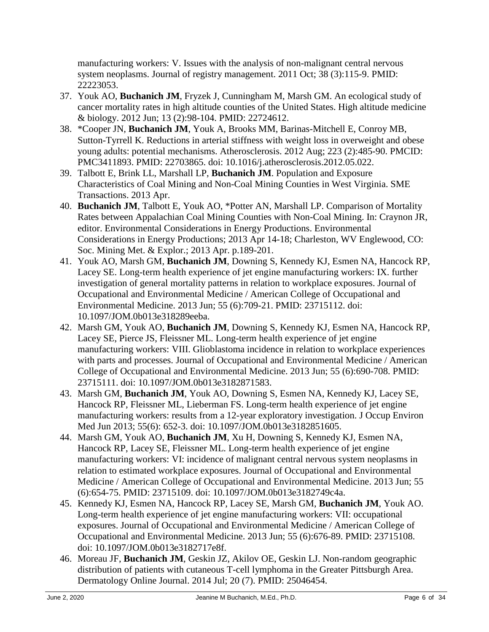manufacturing workers: V. Issues with the analysis of non-malignant central nervous system neoplasms. Journal of registry management. 2011 Oct; 38 (3):115-9. PMID: 22223053.

- 37. Youk AO, **Buchanich JM**, Fryzek J, Cunningham M, Marsh GM. An ecological study of cancer mortality rates in high altitude counties of the United States. High altitude medicine & biology. 2012 Jun; 13 (2):98-104. PMID: 22724612.
- 38. \*Cooper JN, **Buchanich JM**, Youk A, Brooks MM, Barinas-Mitchell E, Conroy MB, Sutton-Tyrrell K. Reductions in arterial stiffness with weight loss in overweight and obese young adults: potential mechanisms. Atherosclerosis. 2012 Aug; 223 (2):485-90. PMCID: PMC3411893. PMID: 22703865. doi: 10.1016/j.atherosclerosis.2012.05.022.
- 39. Talbott E, Brink LL, Marshall LP, **Buchanich JM**. Population and Exposure Characteristics of Coal Mining and Non-Coal Mining Counties in West Virginia. SME Transactions. 2013 Apr.
- 40. **Buchanich JM**, Talbott E, Youk AO, \*Potter AN, Marshall LP. Comparison of Mortality Rates between Appalachian Coal Mining Counties with Non-Coal Mining. In: Craynon JR, editor. Environmental Considerations in Energy Productions. Environmental Considerations in Energy Productions; 2013 Apr 14-18; Charleston, WV Englewood, CO: Soc. Mining Met. & Explor.; 2013 Apr. p.189-201.
- 41. Youk AO, Marsh GM, **Buchanich JM**, Downing S, Kennedy KJ, Esmen NA, Hancock RP, Lacey SE. Long-term health experience of jet engine manufacturing workers: IX. further investigation of general mortality patterns in relation to workplace exposures. Journal of Occupational and Environmental Medicine / American College of Occupational and Environmental Medicine. 2013 Jun; 55 (6):709-21. PMID: 23715112. doi: 10.1097/JOM.0b013e318289eeba.
- 42. Marsh GM, Youk AO, **Buchanich JM**, Downing S, Kennedy KJ, Esmen NA, Hancock RP, Lacey SE, Pierce JS, Fleissner ML. Long-term health experience of jet engine manufacturing workers: VIII. Glioblastoma incidence in relation to workplace experiences with parts and processes. Journal of Occupational and Environmental Medicine / American College of Occupational and Environmental Medicine. 2013 Jun; 55 (6):690-708. PMID: 23715111. doi: 10.1097/JOM.0b013e3182871583.
- 43. Marsh GM, **Buchanich JM**, Youk AO, Downing S, Esmen NA, Kennedy KJ, Lacey SE, Hancock RP, Fleissner ML, Lieberman FS. Long-term health experience of jet engine manufacturing workers: results from a 12-year exploratory investigation. J Occup Environ Med Jun 2013; 55(6): 652-3. doi: 10.1097/JOM.0b013e3182851605.
- 44. Marsh GM, Youk AO, **Buchanich JM**, Xu H, Downing S, Kennedy KJ, Esmen NA, Hancock RP, Lacey SE, Fleissner ML. Long-term health experience of jet engine manufacturing workers: VI: incidence of malignant central nervous system neoplasms in relation to estimated workplace exposures. Journal of Occupational and Environmental Medicine / American College of Occupational and Environmental Medicine. 2013 Jun; 55 (6):654-75. PMID: 23715109. doi: 10.1097/JOM.0b013e3182749c4a.
- 45. Kennedy KJ, Esmen NA, Hancock RP, Lacey SE, Marsh GM, **Buchanich JM**, Youk AO. Long-term health experience of jet engine manufacturing workers: VII: occupational exposures. Journal of Occupational and Environmental Medicine / American College of Occupational and Environmental Medicine. 2013 Jun; 55 (6):676-89. PMID: 23715108. doi: 10.1097/JOM.0b013e3182717e8f.
- 46. Moreau JF, **Buchanich JM**, Geskin JZ, Akilov OE, Geskin LJ. Non-random geographic distribution of patients with cutaneous T-cell lymphoma in the Greater Pittsburgh Area. Dermatology Online Journal. 2014 Jul; 20 (7). PMID: 25046454.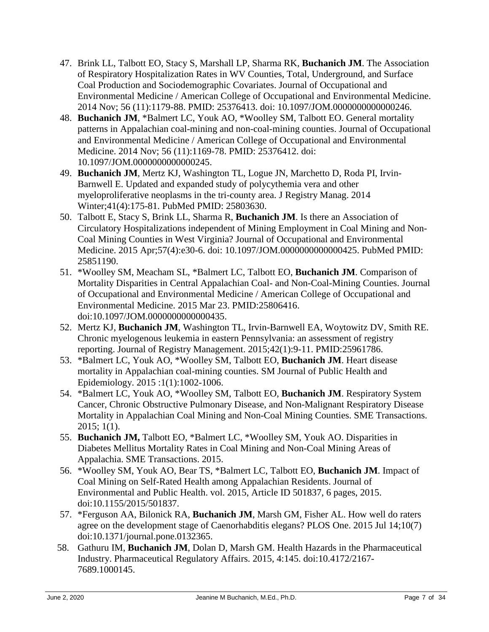- 47. Brink LL, Talbott EO, Stacy S, Marshall LP, Sharma RK, **Buchanich JM**. The Association of Respiratory Hospitalization Rates in WV Counties, Total, Underground, and Surface Coal Production and Sociodemographic Covariates. Journal of Occupational and Environmental Medicine / American College of Occupational and Environmental Medicine. 2014 Nov; 56 (11):1179-88. PMID: 25376413. doi: 10.1097/JOM.0000000000000246.
- 48. **Buchanich JM**, \*Balmert LC, Youk AO, \*Woolley SM, Talbott EO. General mortality patterns in Appalachian coal-mining and non-coal-mining counties. Journal of Occupational and Environmental Medicine / American College of Occupational and Environmental Medicine. 2014 Nov; 56 (11):1169-78. PMID: 25376412. doi: 10.1097/JOM.0000000000000245.
- 49. **Buchanich JM**, Mertz KJ, Washington TL, Logue JN, Marchetto D, Roda PI, Irvin-Barnwell E. [Updated and expanded study of polycythemia vera and other](http://www.ncbi.nlm.nih.gov/pubmed/25803630)  [myeloproliferative neoplasms in the tri-county area.](http://www.ncbi.nlm.nih.gov/pubmed/25803630) J Registry Manag. 2014 Winter;41(4):175-81. PubMed PMID: 25803630.
- 50. Talbott E, Stacy S, Brink LL, Sharma R, **Buchanich JM**. Is there an Association of Circulatory Hospitalizations independent of Mining Employment in Coal Mining and Non-Coal Mining Counties in West Virginia? Journal of Occupational and Environmental Medicine. 2015 Apr;57(4):e30-6. doi: 10.1097/JOM.0000000000000425. PubMed PMID: 25851190.
- 51. \*Woolley SM, Meacham SL, \*Balmert LC, Talbott EO, **Buchanich JM**. Comparison of Mortality Disparities in Central Appalachian Coal- and Non-Coal-Mining Counties. Journal of Occupational and Environmental Medicine / American College of Occupational and Environmental Medicine. 2015 Mar 23. PMID:25806416. doi:10.1097/JOM.0000000000000435.
- 52. Mertz KJ, **Buchanich JM**, Washington TL, Irvin-Barnwell EA, Woytowitz DV, Smith RE. Chronic myelogenous leukemia in eastern Pennsylvania: an assessment of registry reporting. Journal of Registry Management. 2015;42(1):9-11. PMID:25961786.
- 53. \*Balmert LC, Youk AO, \*Woolley SM, Talbott EO, **Buchanich JM**. Heart disease mortality in Appalachian coal-mining counties. SM Journal of Public Health and Epidemiology. 2015 :1(1):1002-1006.
- 54. \*Balmert LC, Youk AO, \*Woolley SM, Talbott EO, **Buchanich JM**. Respiratory System Cancer, Chronic Obstructive Pulmonary Disease, and Non-Malignant Respiratory Disease Mortality in Appalachian Coal Mining and Non-Coal Mining Counties. SME Transactions. 2015; 1(1).
- 55. **Buchanich JM,** Talbott EO, \*Balmert LC, \*Woolley SM, Youk AO. Disparities in Diabetes Mellitus Mortality Rates in Coal Mining and Non-Coal Mining Areas of Appalachia. SME Transactions. 2015.
- 56. \*Woolley SM, Youk AO, Bear TS, \*Balmert LC, Talbott EO, **Buchanich JM**. Impact of Coal Mining on Self-Rated Health among Appalachian Residents. Journal of Environmental and Public Health. vol. 2015, Article ID 501837, 6 pages, 2015. doi:10.1155/2015/501837.
- 57. \*Ferguson AA, Bilonick RA, **Buchanich JM**, Marsh GM, Fisher AL. How well do raters agree on the development stage of Caenorhabditis elegans? PLOS One. 2015 Jul 14;10(7) doi:10.1371/journal.pone.0132365.
- 58. Gathuru IM, **Buchanich JM**, Dolan D, Marsh GM. Health Hazards in the Pharmaceutical Industry. Pharmaceutical Regulatory Affairs. 2015, 4:145. doi:10.4172/2167- 7689.1000145.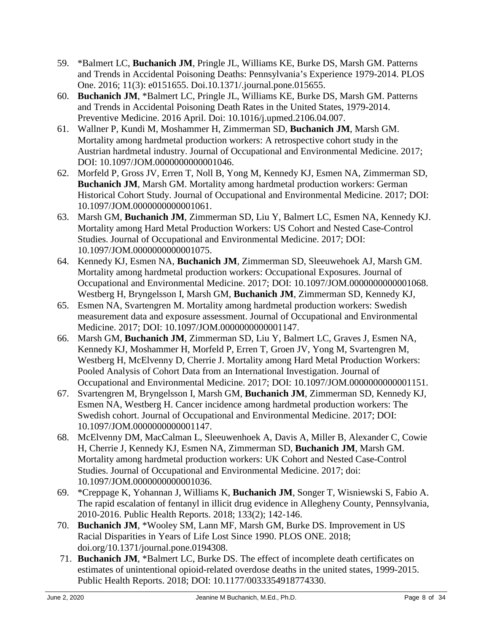- 59. \*Balmert LC, **Buchanich JM**, Pringle JL, Williams KE, Burke DS, Marsh GM. Patterns and Trends in Accidental Poisoning Deaths: Pennsylvania's Experience 1979-2014. PLOS One. 2016; 11(3): e0151655. Doi.10.1371/.journal.pone.015655.
- 60. **Buchanich JM**, \*Balmert LC, Pringle JL, Williams KE, Burke DS, Marsh GM. Patterns and Trends in Accidental Poisoning Death Rates in the United States, 1979-2014. Preventive Medicine. 2016 April. Doi: 10.1016/j.upmed.2106.04.007.
- 61. Wallner P, Kundi M, Moshammer H, Zimmerman SD, **Buchanich JM**, Marsh GM. Mortality among hardmetal production workers: A retrospective cohort study in the Austrian hardmetal industry. Journal of Occupational and Environmental Medicine. 2017; DOI: 10.1097/JOM.0000000000001046.
- 62. Morfeld P, Gross JV, Erren T, Noll B, Yong M, Kennedy KJ, Esmen NA, Zimmerman SD, **Buchanich JM**, Marsh GM. Mortality among hardmetal production workers: German Historical Cohort Study. Journal of Occupational and Environmental Medicine. 2017; DOI: 10.1097/JOM.0000000000001061.
- 63. Marsh GM, **Buchanich JM**, Zimmerman SD, Liu Y, Balmert LC, Esmen NA, Kennedy KJ. Mortality among Hard Metal Production Workers: US Cohort and Nested Case-Control Studies. Journal of Occupational and Environmental Medicine. 2017; DOI: 10.1097/JOM.0000000000001075.
- 64. Kennedy KJ, Esmen NA, **Buchanich JM**, Zimmerman SD, Sleeuwehoek AJ, Marsh GM. Mortality among hardmetal production workers: Occupational Exposures. Journal of Occupational and Environmental Medicine. 2017; DOI: 10.1097/JOM.0000000000001068. Westberg H, Bryngelsson I, Marsh GM, **Buchanich JM**, Zimmerman SD, Kennedy KJ,
- 65. Esmen NA, Svartengren M. Mortality among hardmetal production workers: Swedish measurement data and exposure assessment. Journal of Occupational and Environmental Medicine. 2017; DOI: 10.1097/JOM.0000000000001147.
- 66. Marsh GM, **Buchanich JM**, Zimmerman SD, Liu Y, Balmert LC, Graves J, Esmen NA, Kennedy KJ, Moshammer H, Morfeld P, Erren T, Groen JV, Yong M, Svartengren M, Westberg H, McElvenny D, Cherrie J. Mortality among Hard Metal Production Workers: Pooled Analysis of Cohort Data from an International Investigation. Journal of Occupational and Environmental Medicine. 2017; DOI: 10.1097/JOM.0000000000001151.
- 67. Svartengren M, Bryngelsson I, Marsh GM, **Buchanich JM**, Zimmerman SD, Kennedy KJ, Esmen NA, Westberg H. Cancer incidence among hardmetal production workers: The Swedish cohort. Journal of Occupational and Environmental Medicine. 2017; DOI: 10.1097/JOM.0000000000001147.
- 68. McElvenny DM, MacCalman L, Sleeuwenhoek A, Davis A, Miller B, Alexander C, Cowie H, Cherrie J, Kennedy KJ, Esmen NA, Zimmerman SD, **Buchanich JM**, Marsh GM. Mortality among hardmetal production workers: UK Cohort and Nested Case-Control Studies. Journal of Occupational and Environmental Medicine. 2017; doi: 10.1097/JOM.0000000000001036.
- 69. \*Creppage K, Yohannan J, Williams K, **Buchanich JM**, Songer T, Wisniewski S, Fabio A. The rapid escalation of fentanyl in illicit drug evidence in Allegheny County, Pennsylvania, 2010-2016. Public Health Reports. 2018; 133(2); 142-146.
- 70. **Buchanich JM**, \*Wooley SM, Lann MF, Marsh GM, Burke DS. Improvement in US Racial Disparities in Years of Life Lost Since 1990. PLOS ONE. 2018; doi.org/10.1371/journal.pone.0194308.
	- 71. **Buchanich JM**, \*Balmert LC, Burke DS. The effect of incomplete death certificates on estimates of unintentional opioid-related overdose deaths in the united states, 1999-2015. Public Health Reports. 2018; DOI: 10.1177/0033354918774330.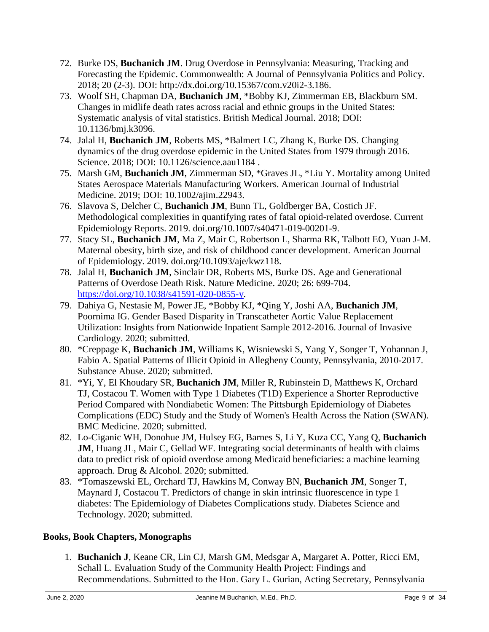- 72. Burke DS, **Buchanich JM**. Drug Overdose in Pennsylvania: Measuring, Tracking and Forecasting the Epidemic. Commonwealth: A Journal of Pennsylvania Politics and Policy. 2018; 20 (2-3). DOI: http://dx.doi.org/10.15367/com.v20i2-3.186.
	- 73. Woolf SH, Chapman DA, **Buchanich JM**, \*Bobby KJ, Zimmerman EB, Blackburn SM. Changes in midlife death rates across racial and ethnic groups in the United States: Systematic analysis of vital statistics. British Medical Journal. 2018; DOI: 10.1136/bmj.k3096.
- 74. Jalal H, **Buchanich JM**, Roberts MS, \*Balmert LC, Zhang K, Burke DS. Changing dynamics of the drug overdose epidemic in the United States from 1979 through 2016. Science. 2018; DOI: 10.1126/science.aau1184 .
- 75. Marsh GM, **Buchanich JM**, Zimmerman SD, \*Graves JL, \*Liu Y. Mortality among United States Aerospace Materials Manufacturing Workers. American Journal of Industrial Medicine. 2019; DOI: 10.1002/ajim.22943.
	- 76. Slavova S, Delcher C, **Buchanich JM**, Bunn TL, Goldberger BA, Costich JF. Methodological complexities in quantifying rates of fatal opioid-related overdose. Current Epidemiology Reports. 2019. doi.org/10.1007/s40471-019-00201-9.
	- 77. Stacy SL, **Buchanich JM**, Ma Z, Mair C, Robertson L, Sharma RK, Talbott EO, Yuan J-M. Maternal obesity, birth size, and risk of childhood cancer development. American Journal of Epidemiology. 2019. doi.org/10.1093/aje/kwz118.
	- 78. Jalal H, **Buchanich JM**, Sinclair DR, Roberts MS, Burke DS. Age and Generational Patterns of Overdose Death Risk. Nature Medicine. 2020; 26: 699-704. [https://doi.org/10.1038/s41591-020-0855-y.](https://doi.org/10.1038/s41591-020-0855-y)
	- 79. Dahiya G, Nestasie M, Power JE, \*Bobby KJ, \*Qing Y, Joshi AA, **Buchanich JM**, Poornima IG. Gender Based Disparity in Transcatheter Aortic Value Replacement Utilization: Insights from Nationwide Inpatient Sample 2012-2016. Journal of Invasive Cardiology. 2020; submitted.
	- 80. \*Creppage K, **Buchanich JM**, Williams K, Wisniewski S, Yang Y, Songer T, Yohannan J, Fabio A. Spatial Patterns of Illicit Opioid in Allegheny County, Pennsylvania, 2010-2017. Substance Abuse. 2020; submitted.
	- 81. \*Yi, Y, El Khoudary SR, **Buchanich JM**, Miller R, Rubinstein D, Matthews K, Orchard TJ, Costacou T. Women with Type 1 Diabetes (T1D) Experience a Shorter Reproductive Period Compared with Nondiabetic Women: The Pittsburgh Epidemiology of Diabetes Complications (EDC) Study and the Study of Women's Health Across the Nation (SWAN). BMC Medicine. 2020; submitted.
	- 82. Lo-Ciganic WH, Donohue JM, Hulsey EG, Barnes S, Li Y, Kuza CC, Yang Q, **Buchanich JM**, Huang JL, Mair C, Gellad WF. Integrating social determinants of health with claims data to predict risk of opioid overdose among Medicaid beneficiaries: a machine learning approach. Drug & Alcohol. 2020; submitted.
	- 83. \*Tomaszewski EL, Orchard TJ, Hawkins M, Conway BN, **Buchanich JM**, Songer T, Maynard J, Costacou T. Predictors of change in skin intrinsic fluorescence in type 1 diabetes: The Epidemiology of Diabetes Complications study. Diabetes Science and Technology. 2020; submitted.

### **Books, Book Chapters, Monographs**

1. **Buchanich J**, Keane CR, Lin CJ, Marsh GM, Medsgar A, Margaret A. Potter, Ricci EM, Schall L. Evaluation Study of the Community Health Project: Findings and Recommendations. Submitted to the Hon. Gary L. Gurian, Acting Secretary, Pennsylvania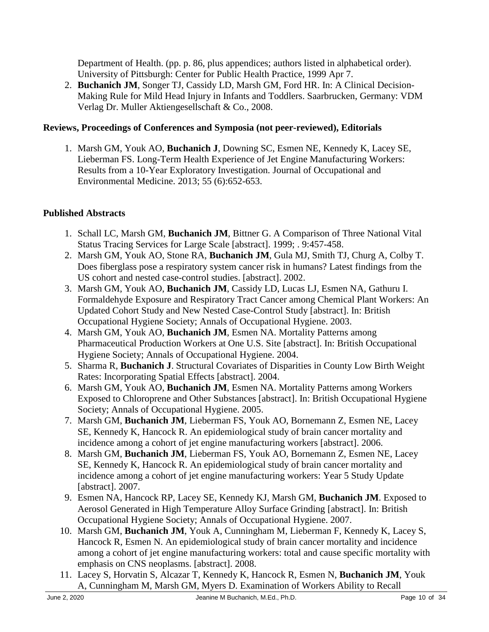Department of Health. (pp. p. 86, plus appendices; authors listed in alphabetical order). University of Pittsburgh: Center for Public Health Practice, 1999 Apr 7.

2. **Buchanich JM**, Songer TJ, Cassidy LD, Marsh GM, Ford HR. In: A Clinical Decision-Making Rule for Mild Head Injury in Infants and Toddlers. Saarbrucken, Germany: VDM Verlag Dr. Muller Aktiengesellschaft & Co., 2008.

### **Reviews, Proceedings of Conferences and Symposia (not peer-reviewed), Editorials**

1. Marsh GM, Youk AO, **Buchanich J**, Downing SC, Esmen NE, Kennedy K, Lacey SE, Lieberman FS. Long-Term Health Experience of Jet Engine Manufacturing Workers: Results from a 10-Year Exploratory Investigation. Journal of Occupational and Environmental Medicine. 2013; 55 (6):652-653.

## **Published Abstracts**

- 1. Schall LC, Marsh GM, **Buchanich JM**, Bittner G. A Comparison of Three National Vital Status Tracing Services for Large Scale [abstract]. 1999; . 9:457-458.
- 2. Marsh GM, Youk AO, Stone RA, **Buchanich JM**, Gula MJ, Smith TJ, Churg A, Colby T. Does fiberglass pose a respiratory system cancer risk in humans? Latest findings from the US cohort and nested case-control studies. [abstract]. 2002.
- 3. Marsh GM, Youk AO, **Buchanich JM**, Cassidy LD, Lucas LJ, Esmen NA, Gathuru I. Formaldehyde Exposure and Respiratory Tract Cancer among Chemical Plant Workers: An Updated Cohort Study and New Nested Case-Control Study [abstract]. In: British Occupational Hygiene Society; Annals of Occupational Hygiene. 2003.
- 4. Marsh GM, Youk AO, **Buchanich JM**, Esmen NA. Mortality Patterns among Pharmaceutical Production Workers at One U.S. Site [abstract]. In: British Occupational Hygiene Society; Annals of Occupational Hygiene. 2004.
- 5. Sharma R, **Buchanich J**. Structural Covariates of Disparities in County Low Birth Weight Rates: Incorporating Spatial Effects [abstract]. 2004.
- 6. Marsh GM, Youk AO, **Buchanich JM**, Esmen NA. Mortality Patterns among Workers Exposed to Chloroprene and Other Substances [abstract]. In: British Occupational Hygiene Society; Annals of Occupational Hygiene. 2005.
- 7. Marsh GM, **Buchanich JM**, Lieberman FS, Youk AO, Bornemann Z, Esmen NE, Lacey SE, Kennedy K, Hancock R. An epidemiological study of brain cancer mortality and incidence among a cohort of jet engine manufacturing workers [abstract]. 2006.
- 8. Marsh GM, **Buchanich JM**, Lieberman FS, Youk AO, Bornemann Z, Esmen NE, Lacey SE, Kennedy K, Hancock R. An epidemiological study of brain cancer mortality and incidence among a cohort of jet engine manufacturing workers: Year 5 Study Update [abstract]. 2007.
- 9. Esmen NA, Hancock RP, Lacey SE, Kennedy KJ, Marsh GM, **Buchanich JM**. Exposed to Aerosol Generated in High Temperature Alloy Surface Grinding [abstract]. In: British Occupational Hygiene Society; Annals of Occupational Hygiene. 2007.
- 10. Marsh GM, **Buchanich JM**, Youk A, Cunningham M, Lieberman F, Kennedy K, Lacey S, Hancock R, Esmen N. An epidemiological study of brain cancer mortality and incidence among a cohort of jet engine manufacturing workers: total and cause specific mortality with emphasis on CNS neoplasms. [abstract]. 2008.
- 11. Lacey S, Horvatin S, Alcazar T, Kennedy K, Hancock R, Esmen N, **Buchanich JM**, Youk A, Cunningham M, Marsh GM, Myers D. Examination of Workers Ability to Recall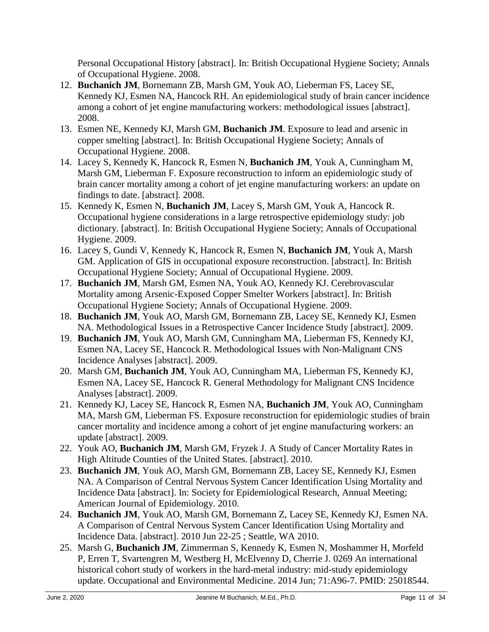Personal Occupational History [abstract]. In: British Occupational Hygiene Society; Annals of Occupational Hygiene. 2008.

- 12. **Buchanich JM**, Bornemann ZB, Marsh GM, Youk AO, Lieberman FS, Lacey SE, Kennedy KJ, Esmen NA, Hancock RH. An epidemiological study of brain cancer incidence among a cohort of jet engine manufacturing workers: methodological issues [abstract]. 2008.
- 13. Esmen NE, Kennedy KJ, Marsh GM, **Buchanich JM**. Exposure to lead and arsenic in copper smelting [abstract]. In: British Occupational Hygiene Society; Annals of Occupational Hygiene. 2008.
- 14. Lacey S, Kennedy K, Hancock R, Esmen N, **Buchanich JM**, Youk A, Cunningham M, Marsh GM, Lieberman F. Exposure reconstruction to inform an epidemiologic study of brain cancer mortality among a cohort of jet engine manufacturing workers: an update on findings to date. [abstract]. 2008.
- 15. Kennedy K, Esmen N, **Buchanich JM**, Lacey S, Marsh GM, Youk A, Hancock R. Occupational hygiene considerations in a large retrospective epidemiology study: job dictionary. [abstract]. In: British Occupational Hygiene Society; Annals of Occupational Hygiene. 2009.
- 16. Lacey S, Gundi V, Kennedy K, Hancock R, Esmen N, **Buchanich JM**, Youk A, Marsh GM. Application of GIS in occupational exposure reconstruction. [abstract]. In: British Occupational Hygiene Society; Annual of Occupational Hygiene. 2009.
- 17. **Buchanich JM**, Marsh GM, Esmen NA, Youk AO, Kennedy KJ. Cerebrovascular Mortality among Arsenic-Exposed Copper Smelter Workers [abstract]. In: British Occupational Hygiene Society; Annals of Occupational Hygiene. 2009.
- 18. **Buchanich JM**, Youk AO, Marsh GM, Bornemann ZB, Lacey SE, Kennedy KJ, Esmen NA. Methodological Issues in a Retrospective Cancer Incidence Study [abstract]. 2009.
- 19. **Buchanich JM**, Youk AO, Marsh GM, Cunningham MA, Lieberman FS, Kennedy KJ, Esmen NA, Lacey SE, Hancock R. Methodological Issues with Non-Malignant CNS Incidence Analyses [abstract]. 2009.
- 20. Marsh GM, **Buchanich JM**, Youk AO, Cunningham MA, Lieberman FS, Kennedy KJ, Esmen NA, Lacey SE, Hancock R. General Methodology for Malignant CNS Incidence Analyses [abstract]. 2009.
- 21. Kennedy KJ, Lacey SE, Hancock R, Esmen NA, **Buchanich JM**, Youk AO, Cunningham MA, Marsh GM, Lieberman FS. Exposure reconstruction for epidemiologic studies of brain cancer mortality and incidence among a cohort of jet engine manufacturing workers: an update [abstract]. 2009.
- 22. Youk AO, **Buchanich JM**, Marsh GM, Fryzek J. A Study of Cancer Mortality Rates in High Altitude Counties of the United States. [abstract]. 2010.
- 23. **Buchanich JM**, Youk AO, Marsh GM, Bornemann ZB, Lacey SE, Kennedy KJ, Esmen NA. A Comparison of Central Nervous System Cancer Identification Using Mortality and Incidence Data [abstract]. In: Society for Epidemiological Research, Annual Meeting; American Journal of Epidemiology. 2010.
- 24. **Buchanich JM**, Youk AO, Marsh GM, Bornemann Z, Lacey SE, Kennedy KJ, Esmen NA. A Comparison of Central Nervous System Cancer Identification Using Mortality and Incidence Data. [abstract]. 2010 Jun 22-25 ; Seattle, WA 2010.
- 25. Marsh G, **Buchanich JM**, Zimmerman S, Kennedy K, Esmen N, Moshammer H, Morfeld P, Erren T, Svartengren M, Westberg H, McElvenny D, Cherrie J. 0269 An international historical cohort study of workers in the hard-metal industry: mid-study epidemiology update. Occupational and Environmental Medicine. 2014 Jun; 71:A96-7. PMID: 25018544.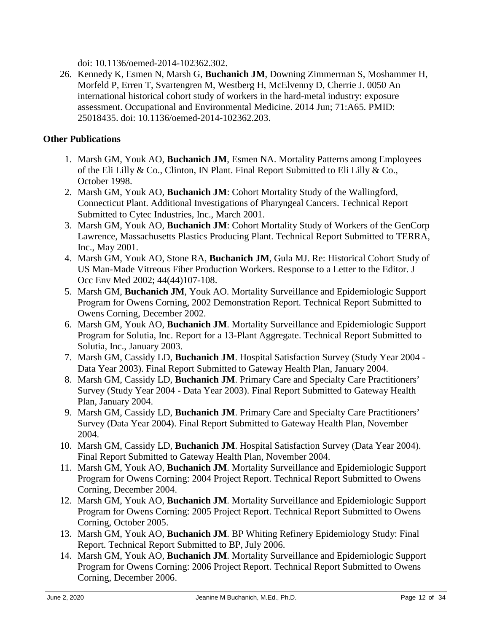doi: 10.1136/oemed-2014-102362.302.

26. Kennedy K, Esmen N, Marsh G, **Buchanich JM**, Downing Zimmerman S, Moshammer H, Morfeld P, Erren T, Svartengren M, Westberg H, McElvenny D, Cherrie J. 0050 An international historical cohort study of workers in the hard-metal industry: exposure assessment. Occupational and Environmental Medicine. 2014 Jun; 71:A65. PMID: 25018435. doi: 10.1136/oemed-2014-102362.203.

### **Other Publications**

- 1. Marsh GM, Youk AO, **Buchanich JM**, Esmen NA. Mortality Patterns among Employees of the Eli Lilly & Co., Clinton, IN Plant. Final Report Submitted to Eli Lilly & Co., October 1998.
- 2. Marsh GM, Youk AO, **Buchanich JM**: Cohort Mortality Study of the Wallingford, Connecticut Plant. Additional Investigations of Pharyngeal Cancers. Technical Report Submitted to Cytec Industries, Inc., March 2001.
- 3. Marsh GM, Youk AO, **Buchanich JM**: Cohort Mortality Study of Workers of the GenCorp Lawrence, Massachusetts Plastics Producing Plant. Technical Report Submitted to TERRA, Inc., May 2001.
- 4. Marsh GM, Youk AO, Stone RA, **Buchanich JM**, Gula MJ. Re: Historical Cohort Study of US Man-Made Vitreous Fiber Production Workers. Response to a Letter to the Editor. J Occ Env Med 2002; 44(44)107-108.
- 5. Marsh GM, **Buchanich JM**, Youk AO. Mortality Surveillance and Epidemiologic Support Program for Owens Corning, 2002 Demonstration Report. Technical Report Submitted to Owens Corning, December 2002.
- 6. Marsh GM, Youk AO, **Buchanich JM**. Mortality Surveillance and Epidemiologic Support Program for Solutia, Inc. Report for a 13-Plant Aggregate. Technical Report Submitted to Solutia, Inc., January 2003.
- 7. Marsh GM, Cassidy LD, **Buchanich JM**. Hospital Satisfaction Survey (Study Year 2004 Data Year 2003). Final Report Submitted to Gateway Health Plan, January 2004.
- 8. Marsh GM, Cassidy LD, **Buchanich JM**. Primary Care and Specialty Care Practitioners' Survey (Study Year 2004 - Data Year 2003). Final Report Submitted to Gateway Health Plan, January 2004.
- 9. Marsh GM, Cassidy LD, **Buchanich JM**. Primary Care and Specialty Care Practitioners' Survey (Data Year 2004). Final Report Submitted to Gateway Health Plan, November 2004.
- 10. Marsh GM, Cassidy LD, **Buchanich JM**. Hospital Satisfaction Survey (Data Year 2004). Final Report Submitted to Gateway Health Plan, November 2004.
- 11. Marsh GM, Youk AO, **Buchanich JM**. Mortality Surveillance and Epidemiologic Support Program for Owens Corning: 2004 Project Report. Technical Report Submitted to Owens Corning, December 2004.
- 12. Marsh GM, Youk AO, **Buchanich JM**. Mortality Surveillance and Epidemiologic Support Program for Owens Corning: 2005 Project Report. Technical Report Submitted to Owens Corning, October 2005.
- 13. Marsh GM, Youk AO, **Buchanich JM**. BP Whiting Refinery Epidemiology Study: Final Report. Technical Report Submitted to BP, July 2006.
- 14. Marsh GM, Youk AO, **Buchanich JM**. Mortality Surveillance and Epidemiologic Support Program for Owens Corning: 2006 Project Report. Technical Report Submitted to Owens Corning, December 2006.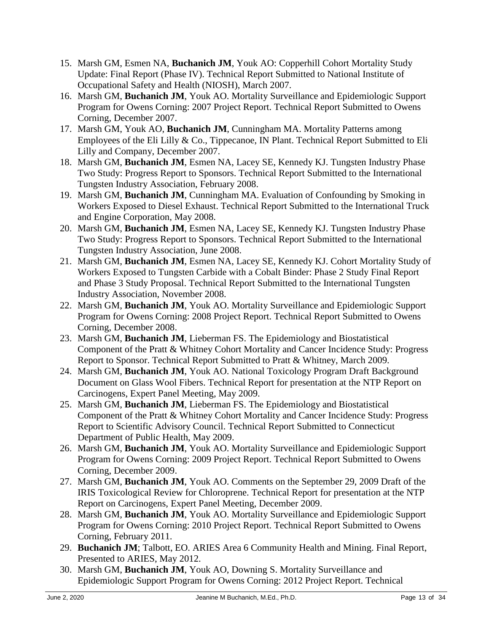- 15. Marsh GM, Esmen NA, **Buchanich JM**, Youk AO: Copperhill Cohort Mortality Study Update: Final Report (Phase IV). Technical Report Submitted to National Institute of Occupational Safety and Health (NIOSH), March 2007.
- 16. Marsh GM, **Buchanich JM**, Youk AO. Mortality Surveillance and Epidemiologic Support Program for Owens Corning: 2007 Project Report. Technical Report Submitted to Owens Corning, December 2007.
- 17. Marsh GM, Youk AO, **Buchanich JM**, Cunningham MA. Mortality Patterns among Employees of the Eli Lilly & Co., Tippecanoe, IN Plant. Technical Report Submitted to Eli Lilly and Company, December 2007.
- 18. Marsh GM, **Buchanich JM**, Esmen NA, Lacey SE, Kennedy KJ. Tungsten Industry Phase Two Study: Progress Report to Sponsors. Technical Report Submitted to the International Tungsten Industry Association, February 2008.
- 19. Marsh GM, **Buchanich JM**, Cunningham MA. Evaluation of Confounding by Smoking in Workers Exposed to Diesel Exhaust. Technical Report Submitted to the International Truck and Engine Corporation, May 2008.
- 20. Marsh GM, **Buchanich JM**, Esmen NA, Lacey SE, Kennedy KJ. Tungsten Industry Phase Two Study: Progress Report to Sponsors. Technical Report Submitted to the International Tungsten Industry Association, June 2008.
- 21. Marsh GM, **Buchanich JM**, Esmen NA, Lacey SE, Kennedy KJ. Cohort Mortality Study of Workers Exposed to Tungsten Carbide with a Cobalt Binder: Phase 2 Study Final Report and Phase 3 Study Proposal. Technical Report Submitted to the International Tungsten Industry Association, November 2008.
- 22. Marsh GM, **Buchanich JM**, Youk AO. Mortality Surveillance and Epidemiologic Support Program for Owens Corning: 2008 Project Report. Technical Report Submitted to Owens Corning, December 2008.
- 23. Marsh GM, **Buchanich JM**, Lieberman FS. The Epidemiology and Biostatistical Component of the Pratt & Whitney Cohort Mortality and Cancer Incidence Study: Progress Report to Sponsor. Technical Report Submitted to Pratt & Whitney, March 2009.
- 24. Marsh GM, **Buchanich JM**, Youk AO. National Toxicology Program Draft Background Document on Glass Wool Fibers. Technical Report for presentation at the NTP Report on Carcinogens, Expert Panel Meeting, May 2009.
- 25. Marsh GM, **Buchanich JM**, Lieberman FS. The Epidemiology and Biostatistical Component of the Pratt & Whitney Cohort Mortality and Cancer Incidence Study: Progress Report to Scientific Advisory Council. Technical Report Submitted to Connecticut Department of Public Health, May 2009.
- 26. Marsh GM, **Buchanich JM**, Youk AO. Mortality Surveillance and Epidemiologic Support Program for Owens Corning: 2009 Project Report. Technical Report Submitted to Owens Corning, December 2009.
- 27. Marsh GM, **Buchanich JM**, Youk AO. Comments on the September 29, 2009 Draft of the IRIS Toxicological Review for Chloroprene. Technical Report for presentation at the NTP Report on Carcinogens, Expert Panel Meeting, December 2009.
- 28. Marsh GM, **Buchanich JM**, Youk AO. Mortality Surveillance and Epidemiologic Support Program for Owens Corning: 2010 Project Report. Technical Report Submitted to Owens Corning, February 2011.
- 29. **Buchanich JM**; Talbott, EO. ARIES Area 6 Community Health and Mining. Final Report, Presented to ARIES, May 2012.
- 30. Marsh GM, **Buchanich JM**, Youk AO, Downing S. Mortality Surveillance and Epidemiologic Support Program for Owens Corning: 2012 Project Report. Technical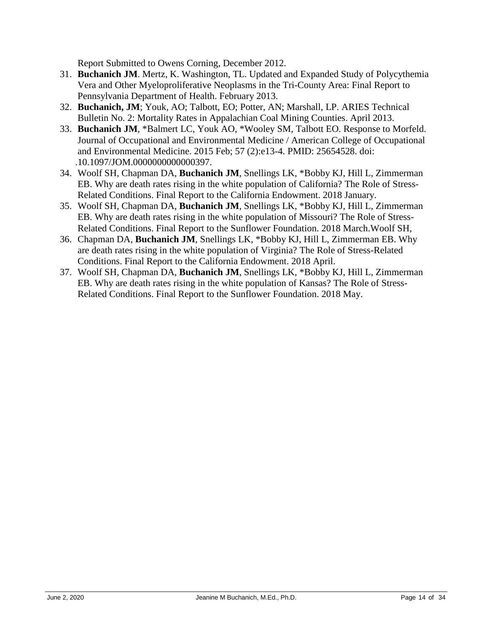Report Submitted to Owens Corning, December 2012.

- 31. **Buchanich JM**. Mertz, K. Washington, TL. Updated and Expanded Study of Polycythemia Vera and Other Myeloproliferative Neoplasms in the Tri-County Area: Final Report to Pennsylvania Department of Health. February 2013.
- 32. **Buchanich, JM**; Youk, AO; Talbott, EO; Potter, AN; Marshall, LP. ARIES Technical Bulletin No. 2: Mortality Rates in Appalachian Coal Mining Counties. April 2013.
- 33. **Buchanich JM**, \*Balmert LC, Youk AO, \*Wooley SM, Talbott EO. Response to Morfeld. . 10.1097/JOM.0000000000000397. Journal of Occupational and Environmental Medicine / American College of Occupational and Environmental Medicine. 2015 Feb; 57 (2):e13-4. PMID: 25654528. doi:
- 34. Woolf SH, Chapman DA, **Buchanich JM**, Snellings LK, \*Bobby KJ, Hill L, Zimmerman EB. Why are death rates rising in the white population of California? The Role of Stress-Related Conditions. Final Report to the California Endowment. 2018 January.
- 35. Woolf SH, Chapman DA, **Buchanich JM**, Snellings LK, \*Bobby KJ, Hill L, Zimmerman EB. Why are death rates rising in the white population of Missouri? The Role of Stress-Related Conditions. Final Report to the Sunflower Foundation. 2018 March.Woolf SH,
- 36. Chapman DA, **Buchanich JM**, Snellings LK, \*Bobby KJ, Hill L, Zimmerman EB. Why are death rates rising in the white population of Virginia? The Role of Stress-Related Conditions. Final Report to the California Endowment. 2018 April.
- 37. Woolf SH, Chapman DA, **Buchanich JM**, Snellings LK, \*Bobby KJ, Hill L, Zimmerman EB. Why are death rates rising in the white population of Kansas? The Role of Stress-Related Conditions. Final Report to the Sunflower Foundation. 2018 May.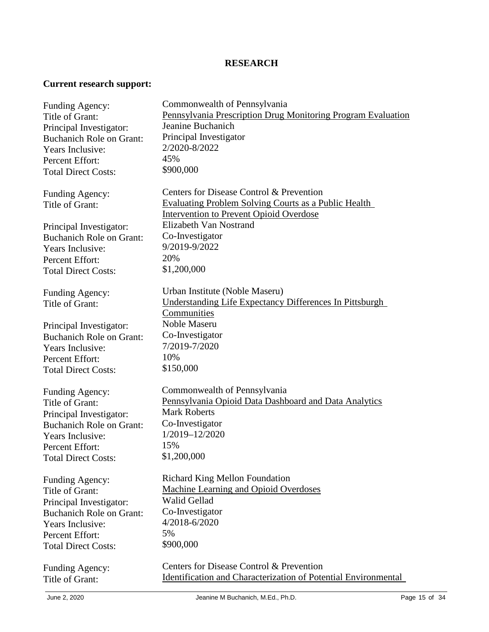## **RESEARCH**

## **Current research support:**

| Funding Agency:                                            | Commonwealth of Pennsylvania                                          |
|------------------------------------------------------------|-----------------------------------------------------------------------|
| Title of Grant:                                            | Pennsylvania Prescription Drug Monitoring Program Evaluation          |
| Principal Investigator:                                    | Jeanine Buchanich                                                     |
| <b>Buchanich Role on Grant:</b>                            | Principal Investigator                                                |
| Years Inclusive:                                           | 2/2020-8/2022                                                         |
| Percent Effort:                                            | 45%                                                                   |
| <b>Total Direct Costs:</b>                                 | \$900,000                                                             |
|                                                            |                                                                       |
| Funding Agency:                                            | Centers for Disease Control & Prevention                              |
| Title of Grant:                                            | <b>Evaluating Problem Solving Courts as a Public Health</b>           |
|                                                            | <b>Intervention to Prevent Opioid Overdose</b>                        |
| Principal Investigator:                                    | Elizabeth Van Nostrand                                                |
| <b>Buchanich Role on Grant:</b>                            | Co-Investigator                                                       |
| Years Inclusive:                                           | 9/2019-9/2022                                                         |
| Percent Effort:                                            | 20%                                                                   |
| <b>Total Direct Costs:</b>                                 | \$1,200,000                                                           |
|                                                            |                                                                       |
|                                                            | Urban Institute (Noble Maseru)                                        |
| Funding Agency:<br>Title of Grant:                         | Understanding Life Expectancy Differences In Pittsburgh               |
|                                                            | Communities                                                           |
|                                                            | Noble Maseru                                                          |
| Principal Investigator:                                    | Co-Investigator                                                       |
| <b>Buchanich Role on Grant:</b>                            | 7/2019-7/2020                                                         |
| Years Inclusive:                                           | 10%                                                                   |
| Percent Effort:                                            | \$150,000                                                             |
| <b>Total Direct Costs:</b>                                 |                                                                       |
|                                                            | Commonwealth of Pennsylvania                                          |
| Funding Agency:<br>Title of Grant:                         | Pennsylvania Opioid Data Dashboard and Data Analytics                 |
|                                                            | <b>Mark Roberts</b>                                                   |
| Principal Investigator:<br><b>Buchanich Role on Grant:</b> | Co-Investigator                                                       |
|                                                            | 1/2019-12/2020                                                        |
| Years Inclusive:                                           | 15%                                                                   |
| Percent Effort:                                            | \$1,200,000                                                           |
| <b>Total Direct Costs:</b>                                 |                                                                       |
|                                                            | <b>Richard King Mellon Foundation</b>                                 |
| Funding Agency:<br>Title of Grant:                         | <b>Machine Learning and Opioid Overdoses</b>                          |
|                                                            | Walid Gellad                                                          |
| Principal Investigator:                                    | Co-Investigator                                                       |
| <b>Buchanich Role on Grant:</b>                            | 4/2018-6/2020                                                         |
| Years Inclusive:                                           | 5%                                                                    |
| Percent Effort:                                            | \$900,000                                                             |
| <b>Total Direct Costs:</b>                                 |                                                                       |
| Funding Agency:                                            | Centers for Disease Control & Prevention                              |
| Title of Grant:                                            | <b>Identification and Characterization of Potential Environmental</b> |
|                                                            |                                                                       |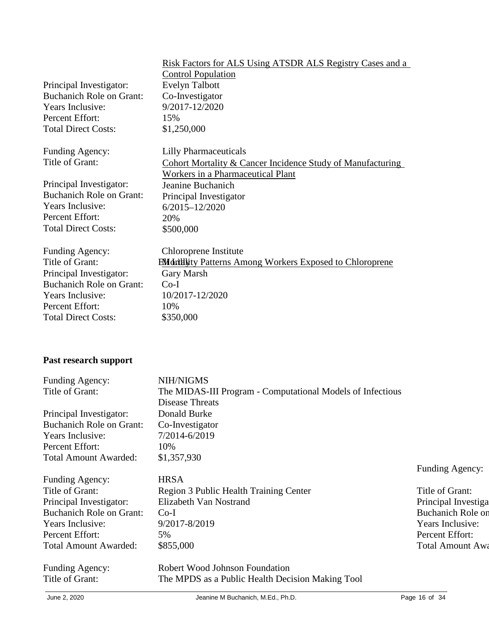|                                 | Risk Factors for ALS Using ATSDR ALS Registry Cases and a             |
|---------------------------------|-----------------------------------------------------------------------|
|                                 | <b>Control Population</b>                                             |
| Principal Investigator:         | <b>Evelyn Talbott</b>                                                 |
| <b>Buchanich Role on Grant:</b> | Co-Investigator                                                       |
| Years Inclusive:                | 9/2017-12/2020                                                        |
| Percent Effort:                 | 15%                                                                   |
| <b>Total Direct Costs:</b>      | \$1,250,000                                                           |
| Funding Agency:                 | <b>Lilly Pharmaceuticals</b>                                          |
| Title of Grant:                 | <b>Cohort Mortality &amp; Cancer Incidence Study of Manufacturing</b> |
|                                 | Workers in a Pharmaceutical Plant                                     |
| Principal Investigator:         | Jeanine Buchanich                                                     |
| <b>Buchanich Role on Grant:</b> | Principal Investigator                                                |
| Years Inclusive:                | $6/2015 - 12/2020$                                                    |
| Percent Effort:                 | 20%                                                                   |
| <b>Total Direct Costs:</b>      | \$500,000                                                             |
| Funding Agency:                 | Chloroprene Institute                                                 |
| Title of Grant:                 | <b>EMdritlivity Patterns Among Workers Exposed to Chloroprene</b>     |
| Principal Investigator:         | Gary Marsh                                                            |
| <b>Buchanich Role on Grant:</b> | $Co-I$                                                                |
| Years Inclusive:                | 10/2017-12/2020                                                       |
| Percent Effort:                 | 10%                                                                   |
| <b>Total Direct Costs:</b>      | \$350,000                                                             |
|                                 |                                                                       |

# **Past research support**

| Funding Agency:                 | NIH/NIGMS                                                  |                          |
|---------------------------------|------------------------------------------------------------|--------------------------|
| Title of Grant:                 | The MIDAS-III Program - Computational Models of Infectious |                          |
|                                 | Disease Threats                                            |                          |
| Principal Investigator:         | Donald Burke                                               |                          |
| <b>Buchanich Role on Grant:</b> | Co-Investigator                                            |                          |
| Years Inclusive:                | 7/2014-6/2019                                              |                          |
| Percent Effort:                 | 10%                                                        |                          |
| <b>Total Amount Awarded:</b>    | \$1,357,930                                                |                          |
|                                 |                                                            | Funding Agency:          |
| Funding Agency:                 | <b>HRSA</b>                                                |                          |
| Title of Grant:                 | Region 3 Public Health Training Center                     | Title of Grant:          |
| Principal Investigator:         | Elizabeth Van Nostrand                                     | Principal Investiga      |
| <b>Buchanich Role on Grant:</b> | $Co-I$                                                     | <b>Buchanich Role on</b> |
| Years Inclusive:                | 9/2017-8/2019                                              | Years Inclusive:         |
| Percent Effort:                 | 5%                                                         | Percent Effort:          |
| <b>Total Amount Awarded:</b>    | \$855,000                                                  | <b>Total Amount Awa</b>  |
| Funding Agency:                 | Robert Wood Johnson Foundation                             |                          |
| Title of Grant:                 | The MPDS as a Public Health Decision Making Tool           |                          |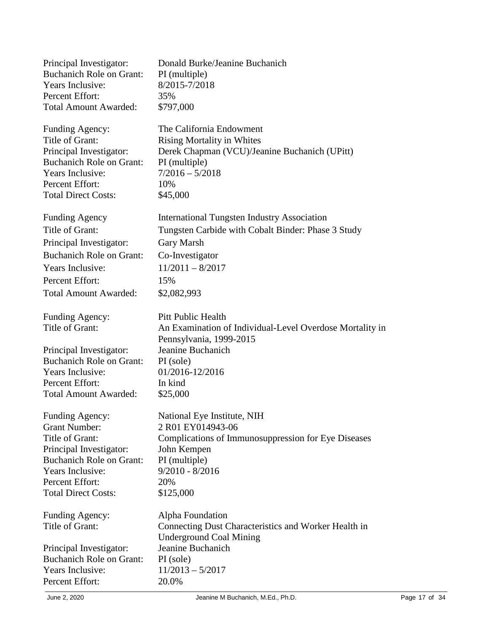| Donald Burke/Jeanine Buchanich<br>PI (multiple)<br>8/2015-7/2018<br>35%<br>\$797,000                                                                                             |
|----------------------------------------------------------------------------------------------------------------------------------------------------------------------------------|
| The California Endowment<br><b>Rising Mortality in Whites</b><br>Derek Chapman (VCU)/Jeanine Buchanich (UPitt)<br>PI (multiple)<br>$7/2016 - 5/2018$<br>10%<br>\$45,000          |
| <b>International Tungsten Industry Association</b><br>Tungsten Carbide with Cobalt Binder: Phase 3 Study<br>Gary Marsh<br>Co-Investigator<br>$11/2011 - 8/2017$<br>15%           |
| \$2,082,993                                                                                                                                                                      |
| <b>Pitt Public Health</b><br>An Examination of Individual-Level Overdose Mortality in<br>Pennsylvania, 1999-2015                                                                 |
| Jeanine Buchanich<br>PI (sole)<br>01/2016-12/2016<br>In kind<br>\$25,000                                                                                                         |
| National Eye Institute, NIH<br>2 R01 EY014943-06<br>Complications of Immunosuppression for Eye Diseases<br>John Kempen<br>PI (multiple)<br>$9/2010 - 8/2016$<br>20%<br>\$125,000 |
| Alpha Foundation<br>Connecting Dust Characteristics and Worker Health in<br><b>Underground Coal Mining</b><br>Jeanine Buchanich<br>PI (sole)<br>$11/2013 - 5/2017$<br>20.0%      |
|                                                                                                                                                                                  |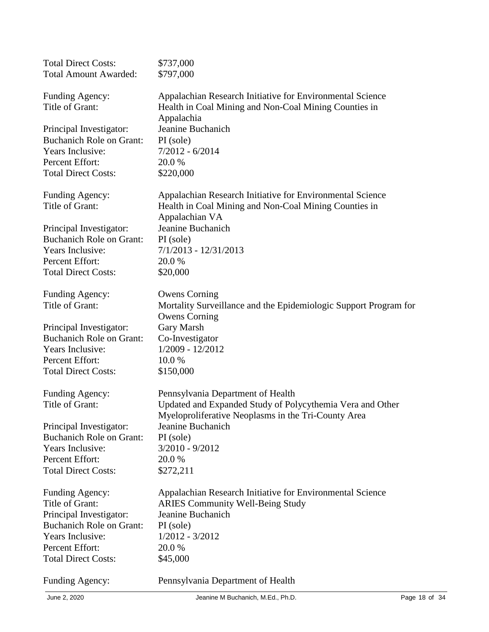| <b>Total Direct Costs:</b>      | \$737,000                                                        |
|---------------------------------|------------------------------------------------------------------|
| <b>Total Amount Awarded:</b>    | \$797,000                                                        |
|                                 |                                                                  |
| Funding Agency:                 | Appalachian Research Initiative for Environmental Science        |
| Title of Grant:                 | Health in Coal Mining and Non-Coal Mining Counties in            |
|                                 | Appalachia                                                       |
| Principal Investigator:         | Jeanine Buchanich                                                |
| <b>Buchanich Role on Grant:</b> | PI (sole)                                                        |
| Years Inclusive:                | $7/2012 - 6/2014$                                                |
| Percent Effort:                 | 20.0 %                                                           |
| <b>Total Direct Costs:</b>      | \$220,000                                                        |
|                                 |                                                                  |
| Funding Agency:                 | Appalachian Research Initiative for Environmental Science        |
| Title of Grant:                 | Health in Coal Mining and Non-Coal Mining Counties in            |
|                                 | Appalachian VA                                                   |
| Principal Investigator:         | Jeanine Buchanich                                                |
| <b>Buchanich Role on Grant:</b> | PI (sole)                                                        |
| Years Inclusive:                | $7/1/2013 - 12/31/2013$                                          |
| Percent Effort:                 | 20.0 %                                                           |
| <b>Total Direct Costs:</b>      | \$20,000                                                         |
|                                 |                                                                  |
| Funding Agency:                 | <b>Owens Corning</b>                                             |
| Title of Grant:                 | Mortality Surveillance and the Epidemiologic Support Program for |
|                                 | <b>Owens Corning</b>                                             |
| Principal Investigator:         | Gary Marsh                                                       |
| <b>Buchanich Role on Grant:</b> | Co-Investigator                                                  |
| Years Inclusive:                | 1/2009 - 12/2012                                                 |
|                                 |                                                                  |
| Percent Effort:                 | 10.0 %                                                           |
| <b>Total Direct Costs:</b>      | \$150,000                                                        |
| Funding Agency:                 | Pennsylvania Department of Health                                |
| Title of Grant:                 | Updated and Expanded Study of Polycythemia Vera and Other        |
|                                 | Myeloproliferative Neoplasms in the Tri-County Area              |
| Principal Investigator:         | Jeanine Buchanich                                                |
| <b>Buchanich Role on Grant:</b> | PI (sole)                                                        |
| Years Inclusive:                | $3/2010 - 9/2012$                                                |
|                                 |                                                                  |
| Percent Effort:                 | 20.0 %                                                           |
| <b>Total Direct Costs:</b>      | \$272,211                                                        |
| Funding Agency:                 | Appalachian Research Initiative for Environmental Science        |
| Title of Grant:                 | <b>ARIES Community Well-Being Study</b>                          |
| Principal Investigator:         | Jeanine Buchanich                                                |
| <b>Buchanich Role on Grant:</b> |                                                                  |
|                                 | PI (sole)                                                        |
| Years Inclusive:                | $1/2012 - 3/2012$                                                |
| Percent Effort:                 | 20.0 %                                                           |
| <b>Total Direct Costs:</b>      | \$45,000                                                         |
|                                 |                                                                  |
| Funding Agency:                 | Pennsylvania Department of Health                                |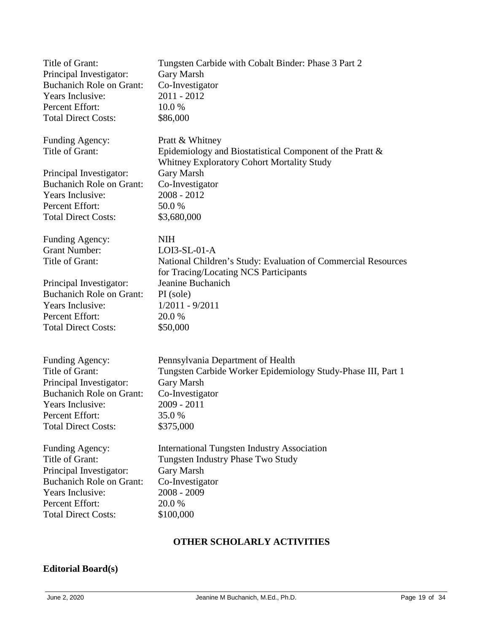| Title of Grant:                                               | Tungsten Carbide with Cobalt Binder: Phase 3 Part 2                                                                                            |
|---------------------------------------------------------------|------------------------------------------------------------------------------------------------------------------------------------------------|
| Principal Investigator:                                       | Gary Marsh                                                                                                                                     |
| <b>Buchanich Role on Grant:</b>                               | Co-Investigator                                                                                                                                |
| Years Inclusive:                                              | $2011 - 2012$                                                                                                                                  |
| Percent Effort:                                               | 10.0%                                                                                                                                          |
| <b>Total Direct Costs:</b>                                    | \$86,000                                                                                                                                       |
| Funding Agency:<br>Title of Grant:<br>Principal Investigator: | Pratt & Whitney<br>Epidemiology and Biostatistical Component of the Pratt &<br>Whitney Exploratory Cohort Mortality Study<br><b>Gary Marsh</b> |
| <b>Buchanich Role on Grant:</b>                               | Co-Investigator                                                                                                                                |
| Years Inclusive:                                              | $2008 - 2012$                                                                                                                                  |
| Percent Effort:                                               | 50.0%                                                                                                                                          |
| <b>Total Direct Costs:</b>                                    | \$3,680,000                                                                                                                                    |
| Funding Agency:<br><b>Grant Number:</b><br>Title of Grant:    | <b>NIH</b><br>$LOI3-SL-01-A$<br>National Children's Study: Evaluation of Commercial Resources<br>for Tracing/Locating NCS Participants         |
| Principal Investigator:                                       | Jeanine Buchanich                                                                                                                              |
| <b>Buchanich Role on Grant:</b>                               | PI (sole)                                                                                                                                      |
| Years Inclusive:                                              | $1/2011 - 9/2011$                                                                                                                              |
| Percent Effort:                                               | 20.0 %                                                                                                                                         |
| <b>Total Direct Costs:</b>                                    | \$50,000                                                                                                                                       |
| Funding Agency:                                               | Pennsylvania Department of Health                                                                                                              |
| Title of Grant:                                               | Tungsten Carbide Worker Epidemiology Study-Phase III, Part 1                                                                                   |
| Principal Investigator:                                       | Gary Marsh                                                                                                                                     |
| <b>Buchanich Role on Grant:</b>                               | Co-Investigator                                                                                                                                |
| Years Inclusive:                                              | $2009 - 2011$                                                                                                                                  |
| Percent Effort:                                               | 35.0%                                                                                                                                          |
| <b>Total Direct Costs:</b>                                    | \$375,000                                                                                                                                      |
| Funding Agency:                                               | <b>International Tungsten Industry Association</b>                                                                                             |
| Title of Grant:                                               | Tungsten Industry Phase Two Study                                                                                                              |
| Principal Investigator:                                       | Gary Marsh                                                                                                                                     |
| <b>Buchanich Role on Grant:</b>                               | Co-Investigator                                                                                                                                |
| Years Inclusive:                                              | $2008 - 2009$                                                                                                                                  |
| Percent Effort:                                               | 20.0 %                                                                                                                                         |
| <b>Total Direct Costs:</b>                                    | \$100,000                                                                                                                                      |

## **OTHER SCHOLARLY ACTIVITIES**

## **Editorial Board(s)**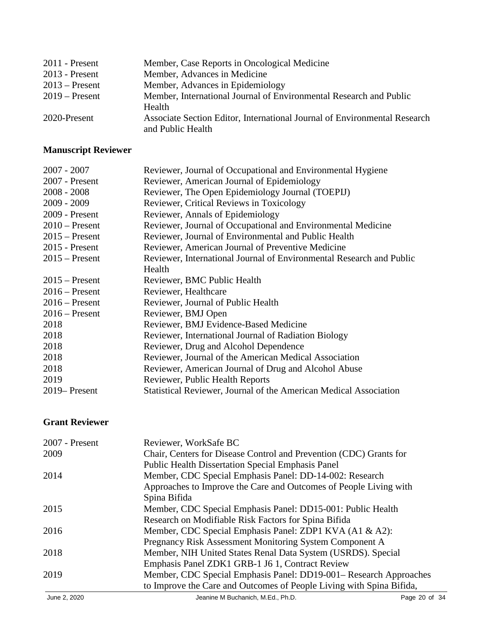| $2011$ - Present | Member, Case Reports in Oncological Medicine                              |
|------------------|---------------------------------------------------------------------------|
| $2013$ - Present | Member, Advances in Medicine                                              |
| $2013$ – Present | Member, Advances in Epidemiology                                          |
| $2019$ – Present | Member, International Journal of Environmental Research and Public        |
|                  | Health                                                                    |
| 2020-Present     | Associate Section Editor, International Journal of Environmental Research |
|                  | and Public Health                                                         |

# **Manuscript Reviewer**

| $2007 - 2007$    | Reviewer, Journal of Occupational and Environmental Hygiene          |
|------------------|----------------------------------------------------------------------|
| 2007 - Present   | Reviewer, American Journal of Epidemiology                           |
| $2008 - 2008$    | Reviewer, The Open Epidemiology Journal (TOEPIJ)                     |
| $2009 - 2009$    | Reviewer, Critical Reviews in Toxicology                             |
| 2009 - Present   | Reviewer, Annals of Epidemiology                                     |
| $2010$ – Present | Reviewer, Journal of Occupational and Environmental Medicine         |
| $2015$ – Present | Reviewer, Journal of Environmental and Public Health                 |
| $2015$ - Present | Reviewer, American Journal of Preventive Medicine                    |
| $2015$ – Present | Reviewer, International Journal of Environmental Research and Public |
|                  | Health                                                               |
| $2015$ – Present | Reviewer, BMC Public Health                                          |
| $2016$ – Present | Reviewer, Healthcare                                                 |
| $2016$ – Present | Reviewer, Journal of Public Health                                   |
| $2016$ – Present | Reviewer, BMJ Open                                                   |
| 2018             | Reviewer, BMJ Evidence-Based Medicine                                |
| 2018             | Reviewer, International Journal of Radiation Biology                 |
| 2018             | Reviewer, Drug and Alcohol Dependence                                |
| 2018             | Reviewer, Journal of the American Medical Association                |
| 2018             | Reviewer, American Journal of Drug and Alcohol Abuse                 |
| 2019             | Reviewer, Public Health Reports                                      |
| 2019–Present     | Statistical Reviewer, Journal of the American Medical Association    |

## **Grant Reviewer**

| $2007$ - Present | Reviewer, WorkSafe BC                                                |
|------------------|----------------------------------------------------------------------|
| 2009             | Chair, Centers for Disease Control and Prevention (CDC) Grants for   |
|                  | <b>Public Health Dissertation Special Emphasis Panel</b>             |
| 2014             | Member, CDC Special Emphasis Panel: DD-14-002: Research              |
|                  | Approaches to Improve the Care and Outcomes of People Living with    |
|                  | Spina Bifida                                                         |
| 2015             | Member, CDC Special Emphasis Panel: DD15-001: Public Health          |
|                  | Research on Modifiable Risk Factors for Spina Bifida                 |
| 2016             | Member, CDC Special Emphasis Panel: ZDP1 KVA (A1 & A2):              |
|                  | Pregnancy Risk Assessment Monitoring System Component A              |
| 2018             | Member, NIH United States Renal Data System (USRDS). Special         |
|                  | Emphasis Panel ZDK1 GRB-1 J6 1, Contract Review                      |
| 2019             | Member, CDC Special Emphasis Panel: DD19-001– Research Approaches    |
|                  | to Improve the Care and Outcomes of People Living with Spina Bifida, |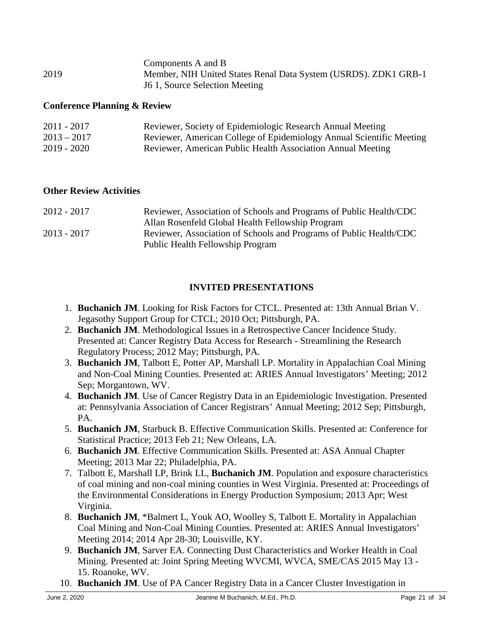|      | Components A and B                                              |
|------|-----------------------------------------------------------------|
| 2019 | Member, NIH United States Renal Data System (USRDS). ZDK1 GRB-1 |
|      | 16 1, Source Selection Meeting                                  |

#### **Conference Planning & Review**

| $2011 - 2017$ | Reviewer, Society of Epidemiologic Research Annual Meeting           |
|---------------|----------------------------------------------------------------------|
| $2013 - 2017$ | Reviewer, American College of Epidemiology Annual Scientific Meeting |
| $2019 - 2020$ | Reviewer, American Public Health Association Annual Meeting          |

#### **Other Review Activities**

| $2012 - 2017$ | Reviewer, Association of Schools and Programs of Public Health/CDC |
|---------------|--------------------------------------------------------------------|
|               | Allan Rosenfeld Global Health Fellowship Program                   |
| $2013 - 2017$ | Reviewer, Association of Schools and Programs of Public Health/CDC |
|               | <b>Public Health Fellowship Program</b>                            |

### **INVITED PRESENTATIONS**

- 1. **Buchanich JM**. Looking for Risk Factors for CTCL. Presented at: 13th Annual Brian V. Jegasothy Support Group for CTCL; 2010 Oct; Pittsburgh, PA.
- 2. **Buchanich JM**. Methodological Issues in a Retrospective Cancer Incidence Study. Presented at: Cancer Registry Data Access for Research - Streamlining the Research Regulatory Process; 2012 May; Pittsburgh, PA.
- 3. **Buchanich JM**, Talbott E, Potter AP, Marshall LP. Mortality in Appalachian Coal Mining and Non-Coal Mining Counties. Presented at: ARIES Annual Investigators' Meeting; 2012 Sep; Morgantown, WV.
- 4. **Buchanich JM**. Use of Cancer Registry Data in an Epidemiologic Investigation. Presented at: Pennsylvania Association of Cancer Registrars' Annual Meeting; 2012 Sep; Pittsburgh, PA.
- 5. **Buchanich JM**, Starbuck B. Effective Communication Skills. Presented at: Conference for Statistical Practice; 2013 Feb 21; New Orleans, LA.
- 6. **Buchanich JM**. Effective Communication Skills. Presented at: ASA Annual Chapter Meeting; 2013 Mar 22; Philadelphia, PA.
- 7. Talbott E, Marshall LP, Brink LL, **Buchanich JM**. Population and exposure characteristics of coal mining and non-coal mining counties in West Virginia. Presented at: Proceedings of the Environmental Considerations in Energy Production Symposium; 2013 Apr; West Virginia.
- 8. **Buchanich JM**, \*Balmert L, Youk AO, Woolley S, Talbott E. Mortality in Appalachian Coal Mining and Non-Coal Mining Counties. Presented at: ARIES Annual Investigators' Meeting 2014; 2014 Apr 28-30; Louisville, KY.
- 9. **Buchanich JM**, Sarver EA. Connecting Dust Characteristics and Worker Health in Coal Mining. Presented at: Joint Spring Meeting WVCMI, WVCA, SME/CAS 2015 May 13 - 15. Roanoke, WV.
- 10. **Buchanich JM**. Use of PA Cancer Registry Data in a Cancer Cluster Investigation in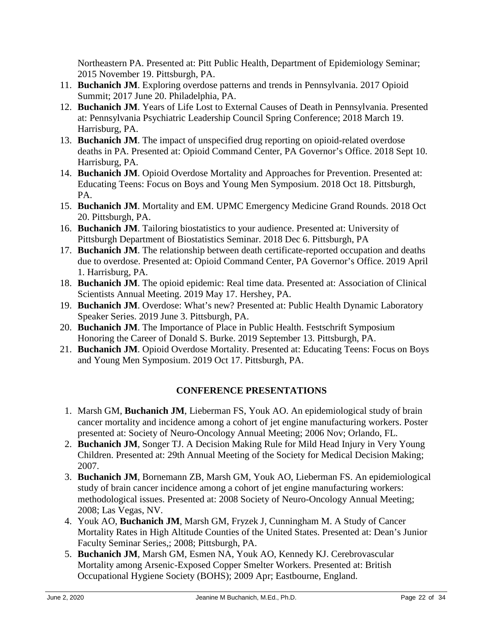Northeastern PA. Presented at: Pitt Public Health, Department of Epidemiology Seminar; 2015 November 19. Pittsburgh, PA.

- 11. **Buchanich JM**. Exploring overdose patterns and trends in Pennsylvania. 2017 Opioid Summit; 2017 June 20. Philadelphia, PA.
- 12. **Buchanich JM**. Years of Life Lost to External Causes of Death in Pennsylvania. Presented at: Pennsylvania Psychiatric Leadership Council Spring Conference; 2018 March 19. Harrisburg, PA.
- 13. **Buchanich JM**. The impact of unspecified drug reporting on opioid-related overdose deaths in PA. Presented at: Opioid Command Center, PA Governor's Office. 2018 Sept 10. Harrisburg, PA.
- 14. **Buchanich JM**. Opioid Overdose Mortality and Approaches for Prevention. Presented at: Educating Teens: Focus on Boys and Young Men Symposium. 2018 Oct 18. Pittsburgh, PA.
- 15. **Buchanich JM**. Mortality and EM. UPMC Emergency Medicine Grand Rounds. 2018 Oct 20. Pittsburgh, PA.
- 16. **Buchanich JM**. Tailoring biostatistics to your audience. Presented at: University of Pittsburgh Department of Biostatistics Seminar. 2018 Dec 6. Pittsburgh, PA
- 17. **Buchanich JM**. The relationship between death certificate-reported occupation and deaths due to overdose. Presented at: Opioid Command Center, PA Governor's Office. 2019 April 1. Harrisburg, PA.
- 18. **Buchanich JM**. The opioid epidemic: Real time data. Presented at: Association of Clinical Scientists Annual Meeting. 2019 May 17. Hershey, PA.
- 19. **Buchanich JM**. Overdose: What's new? Presented at: Public Health Dynamic Laboratory Speaker Series. 2019 June 3. Pittsburgh, PA.
- 20. **Buchanich JM**. The Importance of Place in Public Health. Festschrift Symposium Honoring the Career of Donald S. Burke. 2019 September 13. Pittsburgh, PA.
- 21. **Buchanich JM**. Opioid Overdose Mortality. Presented at: Educating Teens: Focus on Boys and Young Men Symposium. 2019 Oct 17. Pittsburgh, PA.

## **CONFERENCE PRESENTATIONS**

- 1. Marsh GM, **Buchanich JM**, Lieberman FS, Youk AO. An epidemiological study of brain cancer mortality and incidence among a cohort of jet engine manufacturing workers. Poster presented at: Society of Neuro-Oncology Annual Meeting; 2006 Nov; Orlando, FL.
- 2. **Buchanich JM**, Songer TJ. A Decision Making Rule for Mild Head Injury in Very Young Children. Presented at: 29th Annual Meeting of the Society for Medical Decision Making; 2007.
- 3. **Buchanich JM**, Bornemann ZB, Marsh GM, Youk AO, Lieberman FS. An epidemiological study of brain cancer incidence among a cohort of jet engine manufacturing workers: methodological issues. Presented at: 2008 Society of Neuro-Oncology Annual Meeting; 2008; Las Vegas, NV.
- 4. Youk AO, **Buchanich JM**, Marsh GM, Fryzek J, Cunningham M. A Study of Cancer Mortality Rates in High Altitude Counties of the United States. Presented at: Dean's Junior Faculty Seminar Series,; 2008; Pittsburgh, PA.
- 5. **Buchanich JM**, Marsh GM, Esmen NA, Youk AO, Kennedy KJ. Cerebrovascular Mortality among Arsenic-Exposed Copper Smelter Workers. Presented at: British Occupational Hygiene Society (BOHS); 2009 Apr; Eastbourne, England.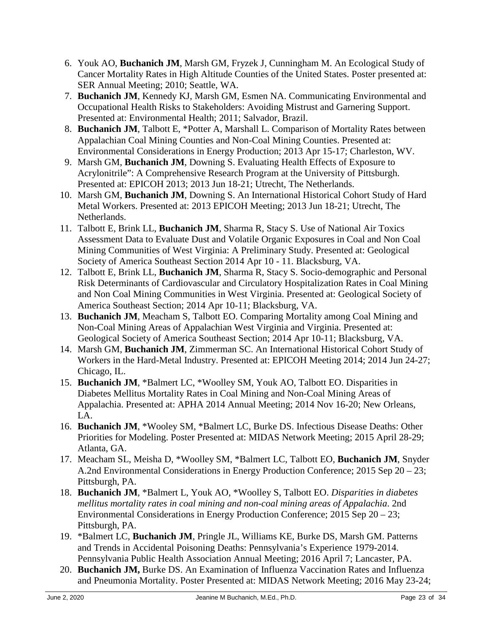- 6. Youk AO, **Buchanich JM**, Marsh GM, Fryzek J, Cunningham M. An Ecological Study of Cancer Mortality Rates in High Altitude Counties of the United States. Poster presented at: SER Annual Meeting; 2010; Seattle, WA.
- 7. **Buchanich JM**, Kennedy KJ, Marsh GM, Esmen NA. Communicating Environmental and Occupational Health Risks to Stakeholders: Avoiding Mistrust and Garnering Support. Presented at: Environmental Health; 2011; Salvador, Brazil.
- 8. **Buchanich JM**, Talbott E, \*Potter A, Marshall L. Comparison of Mortality Rates between Appalachian Coal Mining Counties and Non-Coal Mining Counties. Presented at: Environmental Considerations in Energy Production; 2013 Apr 15-17; Charleston, WV.
- 9. Marsh GM, **Buchanich JM**, Downing S. Evaluating Health Effects of Exposure to Acrylonitrile": A Comprehensive Research Program at the University of Pittsburgh. Presented at: EPICOH 2013; 2013 Jun 18-21; Utrecht, The Netherlands.
- 10. Marsh GM, **Buchanich JM**, Downing S. An International Historical Cohort Study of Hard Metal Workers. Presented at: 2013 EPICOH Meeting; 2013 Jun 18-21; Utrecht, The Netherlands.
- 11. Talbott E, Brink LL, **Buchanich JM**, Sharma R, Stacy S. Use of National Air Toxics Assessment Data to Evaluate Dust and Volatile Organic Exposures in Coal and Non Coal Mining Communities of West Virginia: A Preliminary Study. Presented at: Geological Society of America Southeast Section 2014 Apr 10 - 11. Blacksburg, VA.
- 12. Talbott E, Brink LL, **Buchanich JM**, Sharma R, Stacy S. Socio-demographic and Personal Risk Determinants of Cardiovascular and Circulatory Hospitalization Rates in Coal Mining and Non Coal Mining Communities in West Virginia. Presented at: Geological Society of America Southeast Section; 2014 Apr 10-11; Blacksburg, VA.
- 13. **Buchanich JM**, Meacham S, Talbott EO. Comparing Mortality among Coal Mining and Non-Coal Mining Areas of Appalachian West Virginia and Virginia. Presented at: Geological Society of America Southeast Section; 2014 Apr 10-11; Blacksburg, VA.
- 14. Marsh GM, **Buchanich JM**, Zimmerman SC. An International Historical Cohort Study of Workers in the Hard-Metal Industry. Presented at: EPICOH Meeting 2014; 2014 Jun 24-27; Chicago, IL.
- 15. **Buchanich JM**, \*Balmert LC, \*Woolley SM, Youk AO, Talbott EO. Disparities in Diabetes Mellitus Mortality Rates in Coal Mining and Non-Coal Mining Areas of Appalachia. Presented at: APHA 2014 Annual Meeting; 2014 Nov 16-20; New Orleans, LA.
- 16. **Buchanich JM**, \*Wooley SM, \*Balmert LC, Burke DS. Infectious Disease Deaths: Other Priorities for Modeling. Poster Presented at: MIDAS Network Meeting; 2015 April 28-29; Atlanta, GA.
- 17. Meacham SL, Meisha D, \*Woolley SM, \*Balmert LC, Talbott EO, **Buchanich JM**, Snyder A.2nd Environmental Considerations in Energy Production Conference; 2015 Sep 20 – 23; Pittsburgh, PA.
- 18. **Buchanich JM**, \*Balmert L, Youk AO, \*Woolley S, Talbott EO. *Disparities in diabetes mellitus mortality rates in coal mining and non-coal mining areas of Appalachia*. 2nd Environmental Considerations in Energy Production Conference; 2015 Sep 20 – 23; Pittsburgh, PA.
- 19. \*Balmert LC, **Buchanich JM**, Pringle JL, Williams KE, Burke DS, Marsh GM. Patterns and Trends in Accidental Poisoning Deaths: Pennsylvania's Experience 1979-2014. Pennsylvania Public Health Association Annual Meeting; 2016 April 7; Lancaster, PA.
- 20. **Buchanich JM,** Burke DS. An Examination of Influenza Vaccination Rates and Influenza and Pneumonia Mortality. Poster Presented at: MIDAS Network Meeting; 2016 May 23-24;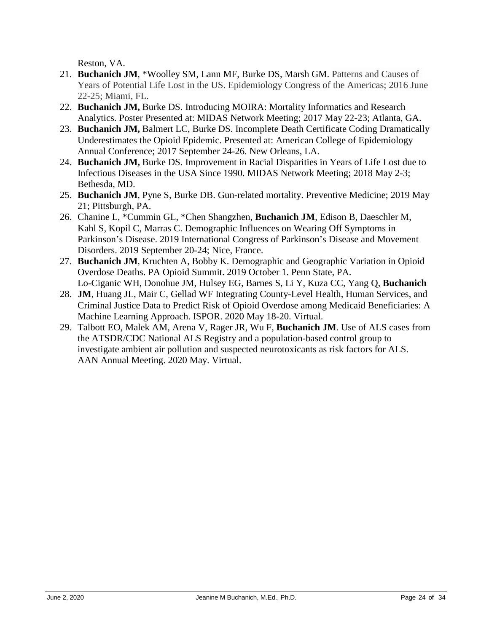Reston, VA.

- 21. **Buchanich JM**, \*Woolley SM, Lann MF, Burke DS, Marsh GM. Patterns and Causes of Years of Potential Life Lost in the US. Epidemiology Congress of the Americas; 2016 June 22-25; Miami, FL.
	- 22. **Buchanich JM,** Burke DS. Introducing MOIRA: Mortality Informatics and Research Analytics. Poster Presented at: MIDAS Network Meeting; 2017 May 22-23; Atlanta, GA.
	- 23. **Buchanich JM,** Balmert LC, Burke DS. Incomplete Death Certificate Coding Dramatically Underestimates the Opioid Epidemic. Presented at: American College of Epidemiology Annual Conference; 2017 September 24-26. New Orleans, LA.
	- 24. **Buchanich JM,** Burke DS. Improvement in Racial Disparities in Years of Life Lost due to Infectious Diseases in the USA Since 1990. MIDAS Network Meeting; 2018 May 2-3; Bethesda, MD.
	- 25. **Buchanich JM**, Pyne S, Burke DB. Gun-related mortality. Preventive Medicine; 2019 May 21; Pittsburgh, PA.
	- 26. Chanine L, \*Cummin GL, \*Chen Shangzhen, **Buchanich JM**, Edison B, Daeschler M, Kahl S, Kopil C, Marras C. Demographic Influences on Wearing Off Symptoms in Parkinson's Disease. 2019 International Congress of Parkinson's Disease and Movement Disorders. 2019 September 20-24; Nice, France.
	- 27. **Buchanich JM**, Kruchten A, Bobby K. Demographic and Geographic Variation in Opioid Overdose Deaths. PA Opioid Summit. 2019 October 1. Penn State, PA. Lo-Ciganic WH, Donohue JM, Hulsey EG, Barnes S, Li Y, Kuza CC, Yang Q, **Buchanich**
	- 28. **JM**, Huang JL, Mair C, Gellad WF Integrating County-Level Health, Human Services, and Criminal Justice Data to Predict Risk of Opioid Overdose among Medicaid Beneficiaries: A Machine Learning Approach. ISPOR. 2020 May 18-20. Virtual.
	- 29. Talbott EO, Malek AM, Arena V, Rager JR, Wu F, **Buchanich JM**. Use of ALS cases from the ATSDR/CDC National ALS Registry and a population-based control group to investigate ambient air pollution and suspected neurotoxicants as risk factors for ALS. AAN Annual Meeting. 2020 May. Virtual.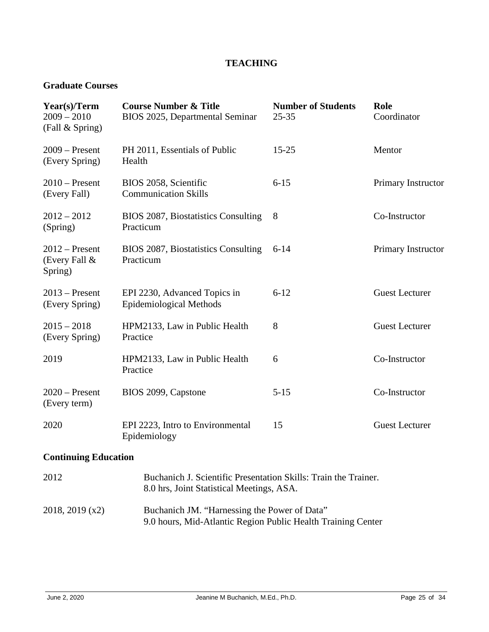## **TEACHING**

#### **Graduate Courses**

| Year(s)/Term<br>$2009 - 2010$<br>(Fall & Spring) | <b>Course Number &amp; Title</b><br>BIOS 2025, Departmental Seminar                                          | <b>Number of Students</b><br>$25 - 35$ | Role<br>Coordinator   |
|--------------------------------------------------|--------------------------------------------------------------------------------------------------------------|----------------------------------------|-----------------------|
| $2009 -$ Present<br>(Every Spring)               | PH 2011, Essentials of Public<br>Health                                                                      | $15 - 25$                              | Mentor                |
| $2010$ – Present<br>(Every Fall)                 | BIOS 2058, Scientific<br><b>Communication Skills</b>                                                         | $6 - 15$                               | Primary Instructor    |
| $2012 - 2012$<br>(Spring)                        | BIOS 2087, Biostatistics Consulting<br>Practicum                                                             | 8                                      | Co-Instructor         |
| $2012$ – Present<br>(Every Fall $\&$<br>Spring)  | BIOS 2087, Biostatistics Consulting<br>Practicum                                                             | $6 - 14$                               | Primary Instructor    |
| $2013$ – Present<br>(Every Spring)               | EPI 2230, Advanced Topics in<br><b>Epidemiological Methods</b>                                               | $6 - 12$                               | <b>Guest Lecturer</b> |
| $2015 - 2018$<br>(Every Spring)                  | HPM2133, Law in Public Health<br>Practice                                                                    | 8                                      | <b>Guest Lecturer</b> |
| 2019                                             | HPM2133, Law in Public Health<br>Practice                                                                    | 6                                      | Co-Instructor         |
| $2020$ – Present<br>(Every term)                 | BIOS 2099, Capstone                                                                                          | $5 - 15$                               | Co-Instructor         |
| 2020                                             | EPI 2223, Intro to Environmental<br>Epidemiology                                                             | 15                                     | <b>Guest Lecturer</b> |
| <b>Continuing Education</b>                      |                                                                                                              |                                        |                       |
| 2012                                             | Buchanich J. Scientific Presentation Skills: Train the Trainer.<br>8.0 hrs, Joint Statistical Meetings, ASA. |                                        |                       |
| 2018, 2019 (x2)                                  | Buchanich JM. "Harnessing the Power of Data"<br>9.0 hours, Mid-Atlantic Region Public Health Training Center |                                        |                       |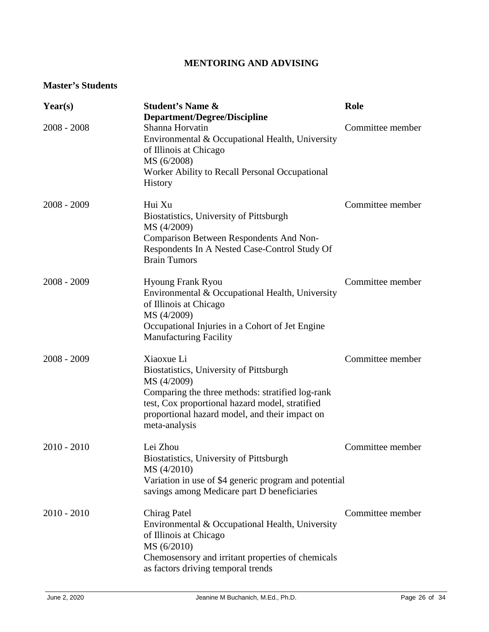## **MENTORING AND ADVISING**

### **Master's Students**

| Year(s)       | <b>Student's Name &amp;</b><br><b>Department/Degree/Discipline</b>                                                                                                                                                                             | Role             |
|---------------|------------------------------------------------------------------------------------------------------------------------------------------------------------------------------------------------------------------------------------------------|------------------|
| $2008 - 2008$ | Shanna Horvatin<br>Environmental & Occupational Health, University<br>of Illinois at Chicago<br>MS (6/2008)<br>Worker Ability to Recall Personal Occupational<br>History                                                                       | Committee member |
| $2008 - 2009$ | Hui Xu<br>Biostatistics, University of Pittsburgh<br>MS (4/2009)<br>Comparison Between Respondents And Non-<br>Respondents In A Nested Case-Control Study Of<br><b>Brain Tumors</b>                                                            | Committee member |
| $2008 - 2009$ | <b>Hyoung Frank Ryou</b><br>Environmental & Occupational Health, University<br>of Illinois at Chicago<br>MS (4/2009)<br>Occupational Injuries in a Cohort of Jet Engine<br><b>Manufacturing Facility</b>                                       | Committee member |
| $2008 - 2009$ | Xiaoxue Li<br>Biostatistics, University of Pittsburgh<br>MS (4/2009)<br>Comparing the three methods: stratified log-rank<br>test, Cox proportional hazard model, stratified<br>proportional hazard model, and their impact on<br>meta-analysis | Committee member |
| $2010 - 2010$ | Lei Zhou<br>Biostatistics, University of Pittsburgh<br>MS (4/2010)<br>Variation in use of \$4 generic program and potential<br>savings among Medicare part D beneficiaries                                                                     | Committee member |
| $2010 - 2010$ | Chirag Patel<br>Environmental & Occupational Health, University<br>of Illinois at Chicago<br>MS (6/2010)<br>Chemosensory and irritant properties of chemicals<br>as factors driving temporal trends                                            | Committee member |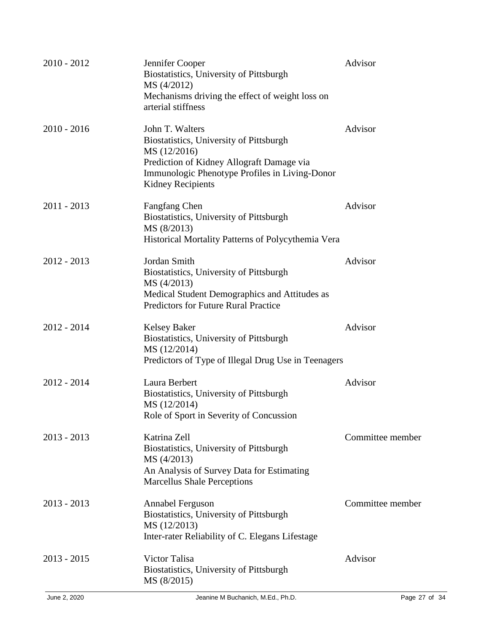| $2010 - 2012$ | Jennifer Cooper<br>Biostatistics, University of Pittsburgh<br>MS (4/2012)<br>Mechanisms driving the effect of weight loss on<br>arterial stiffness                                                    | Advisor          |
|---------------|-------------------------------------------------------------------------------------------------------------------------------------------------------------------------------------------------------|------------------|
| $2010 - 2016$ | John T. Walters<br>Biostatistics, University of Pittsburgh<br>MS (12/2016)<br>Prediction of Kidney Allograft Damage via<br>Immunologic Phenotype Profiles in Living-Donor<br><b>Kidney Recipients</b> | Advisor          |
| $2011 - 2013$ | Fangfang Chen<br>Biostatistics, University of Pittsburgh<br>MS (8/2013)<br>Historical Mortality Patterns of Polycythemia Vera                                                                         | Advisor          |
| $2012 - 2013$ | Jordan Smith<br>Biostatistics, University of Pittsburgh<br>MS (4/2013)<br>Medical Student Demographics and Attitudes as<br><b>Predictors for Future Rural Practice</b>                                | Advisor          |
| $2012 - 2014$ | <b>Kelsey Baker</b><br>Biostatistics, University of Pittsburgh<br>MS (12/2014)<br>Predictors of Type of Illegal Drug Use in Teenagers                                                                 | Advisor          |
| $2012 - 2014$ | Laura Berbert<br>Biostatistics, University of Pittsburgh<br>MS (12/2014)<br>Role of Sport in Severity of Concussion                                                                                   | Advisor          |
| $2013 - 2013$ | Katrina Zell<br>Biostatistics, University of Pittsburgh<br>MS (4/2013)<br>An Analysis of Survey Data for Estimating<br><b>Marcellus Shale Perceptions</b>                                             | Committee member |
| $2013 - 2013$ | <b>Annabel Ferguson</b><br>Biostatistics, University of Pittsburgh<br>MS (12/2013)<br>Inter-rater Reliability of C. Elegans Lifestage                                                                 | Committee member |
| $2013 - 2015$ | Victor Talisa<br>Biostatistics, University of Pittsburgh<br>MS (8/2015)                                                                                                                               | Advisor          |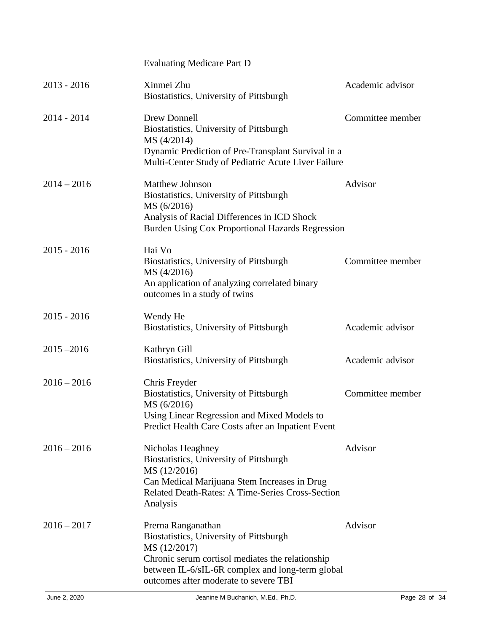|               | <b>Evaluating Medicare Part D</b>                                                                                                                                                                                              |                  |
|---------------|--------------------------------------------------------------------------------------------------------------------------------------------------------------------------------------------------------------------------------|------------------|
| $2013 - 2016$ | Xinmei Zhu<br>Biostatistics, University of Pittsburgh                                                                                                                                                                          | Academic advisor |
| $2014 - 2014$ | Drew Donnell<br>Biostatistics, University of Pittsburgh<br>MS (4/2014)<br>Dynamic Prediction of Pre-Transplant Survival in a<br>Multi-Center Study of Pediatric Acute Liver Failure                                            | Committee member |
| $2014 - 2016$ | <b>Matthew Johnson</b><br>Biostatistics, University of Pittsburgh<br>MS (6/2016)<br>Analysis of Racial Differences in ICD Shock<br>Burden Using Cox Proportional Hazards Regression                                            | Advisor          |
| $2015 - 2016$ | Hai Vo<br>Biostatistics, University of Pittsburgh<br>MS (4/2016)<br>An application of analyzing correlated binary<br>outcomes in a study of twins                                                                              | Committee member |
| $2015 - 2016$ | Wendy He<br>Biostatistics, University of Pittsburgh                                                                                                                                                                            | Academic advisor |
| $2015 - 2016$ | Kathryn Gill<br>Biostatistics, University of Pittsburgh                                                                                                                                                                        | Academic advisor |
| $2016 - 2016$ | Chris Freyder<br>Biostatistics, University of Pittsburgh<br>MS (6/2016)<br>Using Linear Regression and Mixed Models to<br>Predict Health Care Costs after an Inpatient Event                                                   | Committee member |
| $2016 - 2016$ | Nicholas Heaghney<br>Biostatistics, University of Pittsburgh<br>MS (12/2016)<br>Can Medical Marijuana Stem Increases in Drug<br><b>Related Death-Rates: A Time-Series Cross-Section</b><br>Analysis                            | Advisor          |
| $2016 - 2017$ | Prerna Ranganathan<br>Biostatistics, University of Pittsburgh<br>MS (12/2017)<br>Chronic serum cortisol mediates the relationship<br>between IL-6/sIL-6R complex and long-term global<br>outcomes after moderate to severe TBI | Advisor          |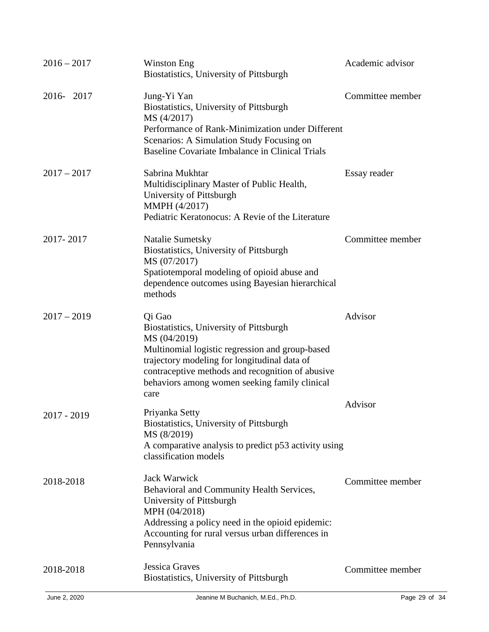| $2016 - 2017$ | Winston Eng<br>Biostatistics, University of Pittsburgh                                                                                                                                                                                                                            | Academic advisor |
|---------------|-----------------------------------------------------------------------------------------------------------------------------------------------------------------------------------------------------------------------------------------------------------------------------------|------------------|
| 2016-2017     | Jung-Yi Yan<br>Biostatistics, University of Pittsburgh<br>MS (4/2017)<br>Performance of Rank-Minimization under Different<br>Scenarios: A Simulation Study Focusing on<br>Baseline Covariate Imbalance in Clinical Trials                                                         | Committee member |
| $2017 - 2017$ | Sabrina Mukhtar<br>Multidisciplinary Master of Public Health,<br>University of Pittsburgh<br>MMPH (4/2017)<br>Pediatric Keratonocus: A Revie of the Literature                                                                                                                    | Essay reader     |
| 2017-2017     | Natalie Sumetsky<br>Biostatistics, University of Pittsburgh<br>MS (07/2017)<br>Spatiotemporal modeling of opioid abuse and<br>dependence outcomes using Bayesian hierarchical<br>methods                                                                                          | Committee member |
| $2017 - 2019$ | Qi Gao<br>Biostatistics, University of Pittsburgh<br>MS (04/2019)<br>Multinomial logistic regression and group-based<br>trajectory modeling for longitudinal data of<br>contraceptive methods and recognition of abusive<br>behaviors among women seeking family clinical<br>care | Advisor          |
| 2017 - 2019   | Priyanka Setty<br>Biostatistics, University of Pittsburgh<br>MS (8/2019)<br>A comparative analysis to predict p53 activity using<br>classification models                                                                                                                         | Advisor          |
| 2018-2018     | Jack Warwick<br>Behavioral and Community Health Services,<br>University of Pittsburgh<br>MPH (04/2018)<br>Addressing a policy need in the opioid epidemic:<br>Accounting for rural versus urban differences in<br>Pennsylvania                                                    | Committee member |
| 2018-2018     | <b>Jessica Graves</b><br>Biostatistics, University of Pittsburgh                                                                                                                                                                                                                  | Committee member |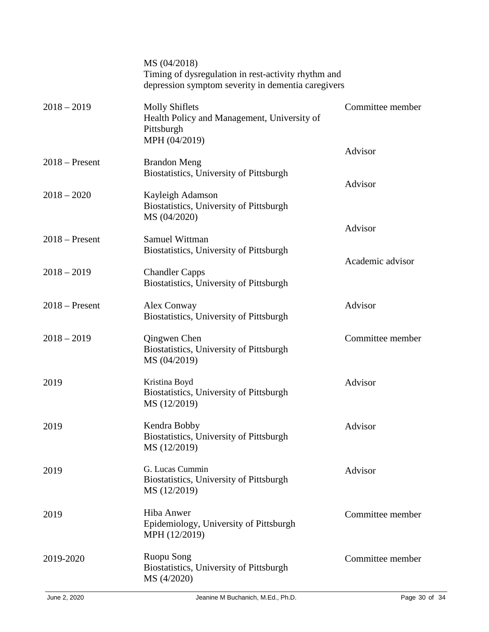| MS (04/2018)                                                                                        |                                                                                                                             |
|-----------------------------------------------------------------------------------------------------|-----------------------------------------------------------------------------------------------------------------------------|
| <b>Molly Shiflets</b><br>Health Policy and Management, University of<br>Pittsburgh<br>MPH (04/2019) | Committee member                                                                                                            |
| <b>Brandon Meng</b><br>Biostatistics, University of Pittsburgh                                      | Advisor                                                                                                                     |
| Kayleigh Adamson<br>Biostatistics, University of Pittsburgh<br>MS (04/2020)                         | Advisor                                                                                                                     |
|                                                                                                     | Advisor                                                                                                                     |
| <b>Biostatistics, University of Pittsburgh</b>                                                      | Academic advisor                                                                                                            |
| <b>Chandler Capps</b><br>Biostatistics, University of Pittsburgh                                    |                                                                                                                             |
| Alex Conway<br>Biostatistics, University of Pittsburgh                                              | Advisor                                                                                                                     |
| Qingwen Chen<br>Biostatistics, University of Pittsburgh<br>MS (04/2019)                             | Committee member                                                                                                            |
| Kristina Boyd<br>Biostatistics, University of Pittsburgh<br>MS (12/2019)                            | Advisor                                                                                                                     |
| Kendra Bobby<br>Biostatistics, University of Pittsburgh<br>MS (12/2019)                             | Advisor                                                                                                                     |
| G. Lucas Cummin<br>Biostatistics, University of Pittsburgh<br>MS (12/2019)                          | Advisor                                                                                                                     |
| Hiba Anwer<br>Epidemiology, University of Pittsburgh<br>MPH (12/2019)                               | Committee member                                                                                                            |
| <b>Ruopu Song</b><br>Biostatistics, University of Pittsburgh<br>MS (4/2020)                         | Committee member                                                                                                            |
|                                                                                                     | Timing of dysregulation in rest-activity rhythm and<br>depression symptom severity in dementia caregivers<br>Samuel Wittman |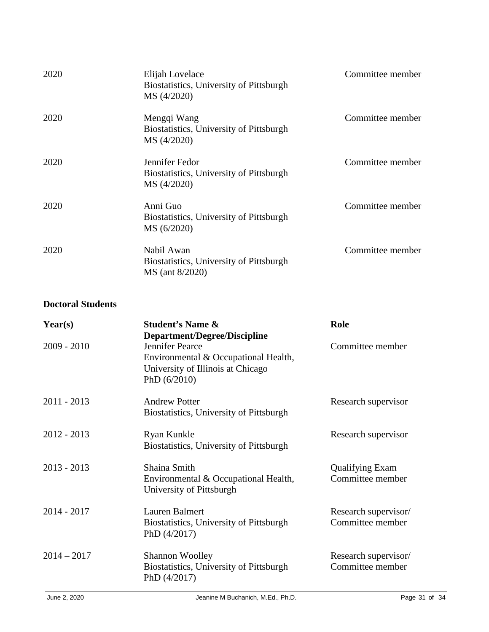| 2020 | Elijah Lovelace<br>Biostatistics, University of Pittsburgh<br>MS (4/2020) | Committee member |
|------|---------------------------------------------------------------------------|------------------|
| 2020 | Mengqi Wang<br>Biostatistics, University of Pittsburgh<br>MS (4/2020)     | Committee member |
| 2020 | Jennifer Fedor<br>Biostatistics, University of Pittsburgh<br>MS (4/2020)  | Committee member |
| 2020 | Anni Guo<br>Biostatistics, University of Pittsburgh<br>MS (6/2020)        | Committee member |
| 2020 | Nabil Awan<br>Biostatistics, University of Pittsburgh<br>MS (ant 8/2020)  | Committee member |

## **Doctoral Students**

| Year(s)       | <b>Student's Name &amp;</b><br><b>Department/Degree/Discipline</b>                                             | Role                                       |
|---------------|----------------------------------------------------------------------------------------------------------------|--------------------------------------------|
| $2009 - 2010$ | Jennifer Pearce<br>Environmental & Occupational Health,<br>University of Illinois at Chicago<br>PhD $(6/2010)$ | Committee member                           |
| $2011 - 2013$ | <b>Andrew Potter</b><br>Biostatistics, University of Pittsburgh                                                | Research supervisor                        |
| $2012 - 2013$ | Ryan Kunkle<br>Biostatistics, University of Pittsburgh                                                         | Research supervisor                        |
| $2013 - 2013$ | Shaina Smith<br>Environmental & Occupational Health,<br>University of Pittsburgh                               | <b>Qualifying Exam</b><br>Committee member |
| $2014 - 2017$ | Lauren Balmert<br>Biostatistics, University of Pittsburgh<br>PhD $(4/2017)$                                    | Research supervisor/<br>Committee member   |
| $2014 - 2017$ | <b>Shannon Woolley</b><br>Biostatistics, University of Pittsburgh<br>PhD $(4/2017)$                            | Research supervisor/<br>Committee member   |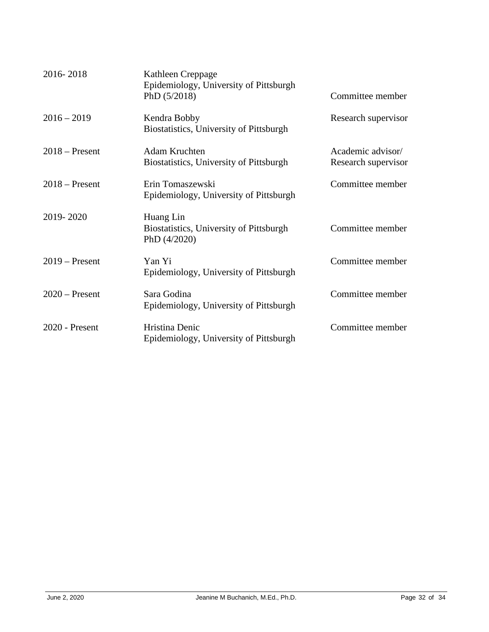| 2016-2018        | Kathleen Creppage<br>Epidemiology, University of Pittsburgh<br>PhD $(5/2018)$ | Committee member                         |
|------------------|-------------------------------------------------------------------------------|------------------------------------------|
| $2016 - 2019$    | Kendra Bobby<br>Biostatistics, University of Pittsburgh                       | Research supervisor                      |
| $2018$ – Present | Adam Kruchten<br>Biostatistics, University of Pittsburgh                      | Academic advisor/<br>Research supervisor |
| $2018 -$ Present | Erin Tomaszewski<br>Epidemiology, University of Pittsburgh                    | Committee member                         |
| 2019-2020        | Huang Lin<br>Biostatistics, University of Pittsburgh<br>PhD (4/2020)          | Committee member                         |
| $2019 -$ Present | Yan Yi<br>Epidemiology, University of Pittsburgh                              | Committee member                         |
| $2020$ – Present | Sara Godina<br>Epidemiology, University of Pittsburgh                         | Committee member                         |
| 2020 - Present   | Hristina Denic<br>Epidemiology, University of Pittsburgh                      | Committee member                         |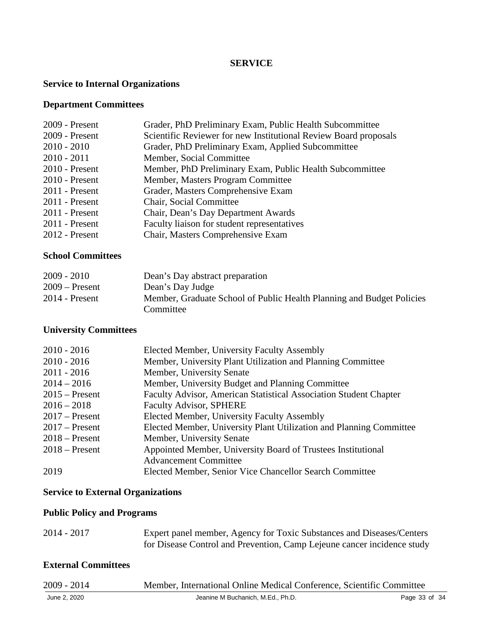#### **SERVICE**

#### **Service to Internal Organizations**

### **Department Committees**

| 2009 - Present   | Grader, PhD Preliminary Exam, Public Health Subcommittee         |
|------------------|------------------------------------------------------------------|
| 2009 - Present   | Scientific Reviewer for new Institutional Review Board proposals |
| $2010 - 2010$    | Grader, PhD Preliminary Exam, Applied Subcommittee               |
| $2010 - 2011$    | Member, Social Committee                                         |
| $2010$ - Present | Member, PhD Preliminary Exam, Public Health Subcommittee         |
| $2010$ - Present | Member, Masters Program Committee                                |
| $2011$ - Present | Grader, Masters Comprehensive Exam                               |
| $2011$ - Present | Chair, Social Committee                                          |
| $2011$ - Present | Chair, Dean's Day Department Awards                              |
| $2011$ - Present | Faculty liaison for student representatives                      |
| $2012$ - Present | Chair, Masters Comprehensive Exam                                |
|                  |                                                                  |

### **School Committees**

| $2009 - 2010$    | Dean's Day abstract preparation                                       |
|------------------|-----------------------------------------------------------------------|
| $2009 -$ Present | Dean's Day Judge                                                      |
| $2014$ - Present | Member, Graduate School of Public Health Planning and Budget Policies |
|                  | Committee                                                             |

### **University Committees**

| Elected Member, University Faculty Assembly<br>$2010 - 2016$      |                                                                     |
|-------------------------------------------------------------------|---------------------------------------------------------------------|
| $2010 - 2016$                                                     | Member, University Plant Utilization and Planning Committee         |
| $2011 - 2016$<br>Member, University Senate                        |                                                                     |
| $2014 - 2016$<br>Member, University Budget and Planning Committee |                                                                     |
| $2015$ – Present                                                  | Faculty Advisor, American Statistical Association Student Chapter   |
| <b>Faculty Advisor, SPHERE</b><br>$2016 - 2018$                   |                                                                     |
| Elected Member, University Faculty Assembly<br>$2017$ – Present   |                                                                     |
| $2017$ – Present                                                  | Elected Member, University Plant Utilization and Planning Committee |
| Member, University Senate<br>$2018 -$ Present                     |                                                                     |
| $2018$ – Present                                                  | Appointed Member, University Board of Trustees Institutional        |
| <b>Advancement Committee</b>                                      |                                                                     |
| 2019<br>Elected Member, Senior Vice Chancellor Search Committee   |                                                                     |

### **Service to External Organizations**

### **Public Policy and Programs**

| $2014 - 2017$ | Expert panel member, Agency for Toxic Substances and Diseases/Centers   |
|---------------|-------------------------------------------------------------------------|
|               | for Disease Control and Prevention, Camp Lejeune cancer incidence study |

## **External Committees**

| $2009 - 2014$ | Member, International Online Medical Conference, Scientific Committee |               |
|---------------|-----------------------------------------------------------------------|---------------|
| June 2, 2020  | Jeanine M Buchanich, M.Ed., Ph.D.                                     | Page 33 of 34 |